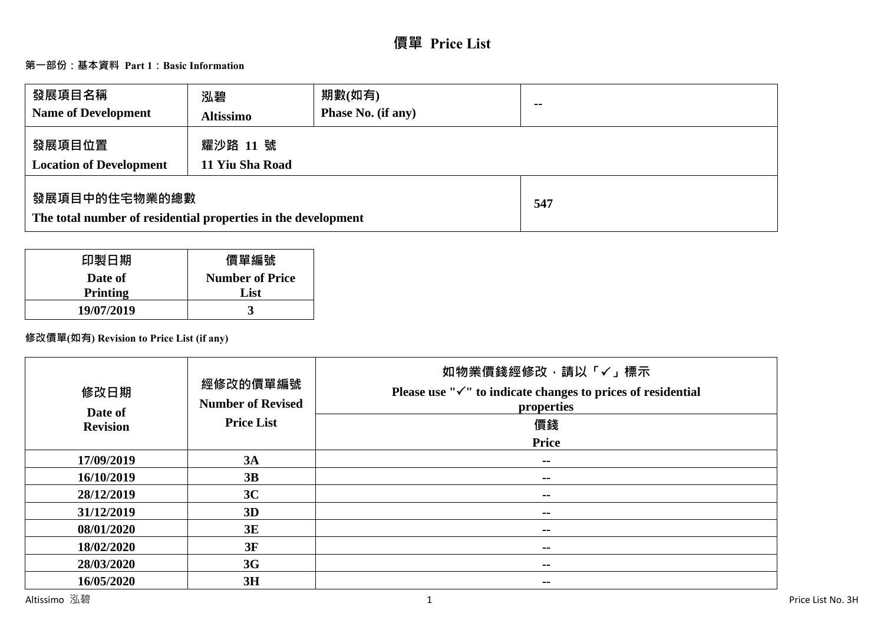# **價單 Price List**

## **第一部份:基本資料 Part 1:Basic Information**

| 發展項目名稱<br><b>Name of Development</b>                                           | 泓碧<br><b>Altissimo</b>      | 期數(如有)<br>Phase No. (if any) | $\sim$ |
|--------------------------------------------------------------------------------|-----------------------------|------------------------------|--------|
| 發展項目位置<br><b>Location of Development</b>                                       | 耀沙路 11 號<br>11 Yiu Sha Road |                              |        |
| 發展項目中的住宅物業的總數<br>The total number of residential properties in the development |                             |                              | 547    |

| 印製日期            | 價單編號                   |
|-----------------|------------------------|
| Date of         | <b>Number of Price</b> |
| <b>Printing</b> | List                   |
| 19/07/2019      |                        |

## **修改價單(如有) Revision to Price List (if any)**

| 修改日期<br>Date of<br><b>Revision</b> | 經修改的價單編號<br><b>Number of Revised</b><br><b>Price List</b> | 如物業價錢經修改﹐請以「✓」標示<br>Please use " $\checkmark$ " to indicate changes to prices of residential<br>properties<br>價錢<br><b>Price</b> |
|------------------------------------|-----------------------------------------------------------|----------------------------------------------------------------------------------------------------------------------------------|
| 17/09/2019                         | 3A                                                        | $- -$                                                                                                                            |
| 16/10/2019                         | 3B                                                        | $- -$                                                                                                                            |
| 28/12/2019                         | 3C                                                        | $\sim$ $\sim$                                                                                                                    |
| 31/12/2019                         | 3D                                                        | $\sim$ $\sim$                                                                                                                    |
| 08/01/2020                         | 3E                                                        | $\sim$ $\sim$                                                                                                                    |
| 18/02/2020                         | 3F                                                        | $- -$                                                                                                                            |
| 28/03/2020                         | 3G                                                        | $- -$                                                                                                                            |
| 16/05/2020                         | 3H                                                        | $\sim$ $\sim$                                                                                                                    |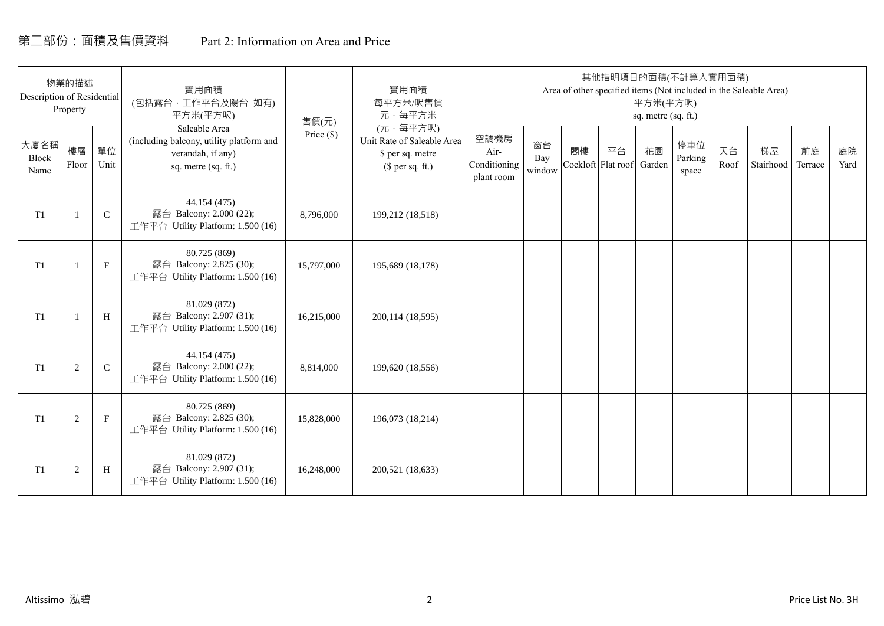## 第二部份:面積及售價資料 Part 2: Information on Area and Price

| Description of Residential | 物業的描述<br>Property |             | 實用面積<br>(包括露台,工作平台及陽台 如有)<br>平方米(平方呎)                                                                 | 售價(元)        | 實用面積<br>每平方米/呎售價<br>元·每平方米                                                     |                                            |                     |    | 其他指明項目的面積(不計算入實用面積)      | 平方米(平方呎)<br>sq. metre (sq. ft.) |                         |            | Area of other specified items (Not included in the Saleable Area) |               |            |
|----------------------------|-------------------|-------------|-------------------------------------------------------------------------------------------------------|--------------|--------------------------------------------------------------------------------|--------------------------------------------|---------------------|----|--------------------------|---------------------------------|-------------------------|------------|-------------------------------------------------------------------|---------------|------------|
| 大廈名稱<br>Block<br>Name      | 樓層<br>Floor       | 單位<br>Unit  | Saleable Area<br>(including balcony, utility platform and<br>verandah, if any)<br>sq. metre (sq. ft.) | Price $(\$)$ | (元·每平方呎)<br>Unit Rate of Saleable Area<br>\$ per sq. metre<br>$$$ per sq. ft.) | 空調機房<br>Air-<br>Conditioning<br>plant room | 窗台<br>Bay<br>window | 閣樓 | 平台<br>Cockloft Flat roof | 花園<br>Garden                    | 停車位<br>Parking<br>space | 天台<br>Roof | 梯屋<br>Stairhood                                                   | 前庭<br>Terrace | 庭院<br>Yard |
| T <sub>1</sub>             |                   | $\mathsf C$ | 44.154 (475)<br>露台 Balcony: 2.000 (22);<br>工作平台 Utility Platform: 1.500 (16)                          | 8,796,000    | 199,212 (18,518)                                                               |                                            |                     |    |                          |                                 |                         |            |                                                                   |               |            |
| T <sub>1</sub>             |                   | $\mathbf F$ | 80.725 (869)<br>露台 Balcony: 2.825 (30);<br>工作平台 Utility Platform: 1.500 (16)                          | 15,797,000   | 195,689 (18,178)                                                               |                                            |                     |    |                          |                                 |                         |            |                                                                   |               |            |
| T <sub>1</sub>             |                   | H           | 81.029 (872)<br>露台 Balcony: 2.907 (31);<br>工作平台 Utility Platform: 1.500 (16)                          | 16,215,000   | 200,114 (18,595)                                                               |                                            |                     |    |                          |                                 |                         |            |                                                                   |               |            |
| T1                         | 2                 | $\mathbf C$ | 44.154 (475)<br>露台 Balcony: 2.000 (22);<br>工作平台 Utility Platform: 1.500 (16)                          | 8,814,000    | 199,620 (18,556)                                                               |                                            |                     |    |                          |                                 |                         |            |                                                                   |               |            |
| T1                         | 2                 | $\mathbf F$ | 80.725 (869)<br>露台 Balcony: 2.825 (30);<br>工作平台 Utility Platform: 1.500 (16)                          | 15,828,000   | 196,073 (18,214)                                                               |                                            |                     |    |                          |                                 |                         |            |                                                                   |               |            |
| T1                         | $\overline{2}$    | H           | 81.029 (872)<br>露台 Balcony: 2.907 (31);<br>工作平台 Utility Platform: 1.500 (16)                          | 16,248,000   | 200,521 (18,633)                                                               |                                            |                     |    |                          |                                 |                         |            |                                                                   |               |            |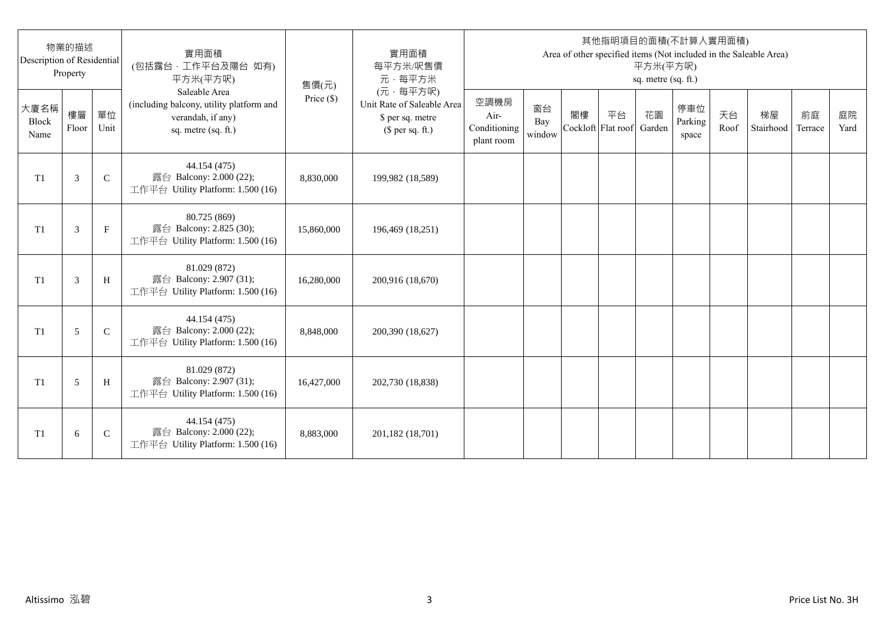| Description of Residential | 物業的描述<br>Property |              | 實用面積<br>(包括露台,工作平台及陽台 如有)<br>平方米(平方呎)                                                                 | 售價(元)      | 實用面積<br>每平方米/呎售價<br>元·每平方米                                                     |                                            |                     |                          |    | 平方米(平方呎)<br>sq. metre (sq. ft.) | 其他指明項目的面積(不計算入實用面積)     |            | Area of other specified items (Not included in the Saleable Area) |               |            |
|----------------------------|-------------------|--------------|-------------------------------------------------------------------------------------------------------|------------|--------------------------------------------------------------------------------|--------------------------------------------|---------------------|--------------------------|----|---------------------------------|-------------------------|------------|-------------------------------------------------------------------|---------------|------------|
| 大廈名稱<br>Block<br>Name      | 樓層<br>Floor       | 單位<br>Unit   | Saleable Area<br>(including balcony, utility platform and<br>verandah, if any)<br>sq. metre (sq. ft.) | Price (\$) | (元·每平方呎)<br>Unit Rate of Saleable Area<br>\$ per sq. metre<br>$$$ per sq. ft.) | 空調機房<br>Air-<br>Conditioning<br>plant room | 窗台<br>Bay<br>window | 閣樓<br>Cockloft Flat roof | 平台 | 花園<br>Garden                    | 停車位<br>Parking<br>space | 天台<br>Roof | 梯屋<br>Stairhood                                                   | 前庭<br>Terrace | 庭院<br>Yard |
| T <sub>1</sub>             | 3                 | $\mathsf{C}$ | 44.154 (475)<br>露台 Balcony: 2.000 (22);<br>工作平台 Utility Platform: 1.500 (16)                          | 8,830,000  | 199,982 (18,589)                                                               |                                            |                     |                          |    |                                 |                         |            |                                                                   |               |            |
| T <sub>1</sub>             | 3                 | $_{\rm F}$   | 80.725 (869)<br>露台 Balcony: 2.825 (30);<br>工作平台 Utility Platform: 1.500 (16)                          | 15,860,000 | 196,469 (18,251)                                                               |                                            |                     |                          |    |                                 |                         |            |                                                                   |               |            |
| T1                         | 3                 | H            | 81.029 (872)<br>露台 Balcony: 2.907 (31);<br>工作平台 Utility Platform: 1.500 (16)                          | 16,280,000 | 200,916 (18,670)                                                               |                                            |                     |                          |    |                                 |                         |            |                                                                   |               |            |
| T1                         | 5                 | $\mathsf{C}$ | 44.154 (475)<br>露台 Balcony: 2.000 (22);<br>工作平台 Utility Platform: 1.500 (16)                          | 8,848,000  | 200,390 (18,627)                                                               |                                            |                     |                          |    |                                 |                         |            |                                                                   |               |            |
| T1                         | 5                 | H            | 81.029 (872)<br>露台 Balcony: 2.907 (31);<br>工作平台 Utility Platform: 1.500 (16)                          | 16,427,000 | 202,730 (18,838)                                                               |                                            |                     |                          |    |                                 |                         |            |                                                                   |               |            |
| T <sub>1</sub>             | 6                 | $\mathsf{C}$ | 44.154 (475)<br>露台 Balcony: 2.000 (22);<br>工作平台 Utility Platform: 1.500 (16)                          | 8,883,000  | 201,182 (18,701)                                                               |                                            |                     |                          |    |                                 |                         |            |                                                                   |               |            |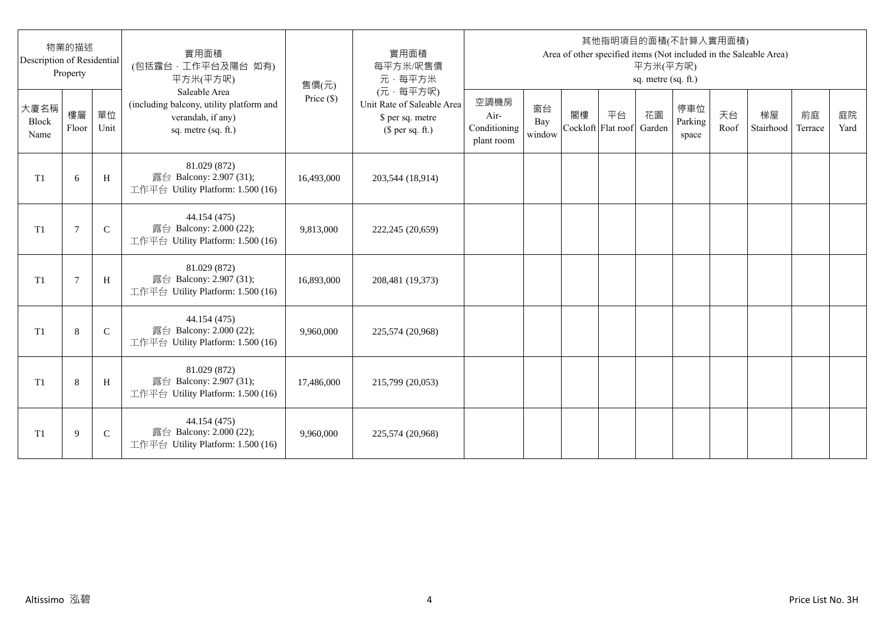| Description of Residential | 物業的描述<br>Property |              | 實用面積<br>(包括露台,工作平台及陽台 如有)<br>平方米(平方呎)                                                                 | 售價(元)      | 實用面積<br>每平方米/呎售價<br>元·每平方米                                                     |                                            |                     |                          |    | 平方米(平方呎)<br>sq. metre (sq. ft.) | 其他指明項目的面積(不計算入實用面積)     |            | Area of other specified items (Not included in the Saleable Area) |               |            |
|----------------------------|-------------------|--------------|-------------------------------------------------------------------------------------------------------|------------|--------------------------------------------------------------------------------|--------------------------------------------|---------------------|--------------------------|----|---------------------------------|-------------------------|------------|-------------------------------------------------------------------|---------------|------------|
| 大廈名稱<br>Block<br>Name      | 樓層<br>Floor       | 單位<br>Unit   | Saleable Area<br>(including balcony, utility platform and<br>verandah, if any)<br>sq. metre (sq. ft.) | Price (\$) | (元·每平方呎)<br>Unit Rate of Saleable Area<br>\$ per sq. metre<br>$$$ per sq. ft.) | 空調機房<br>Air-<br>Conditioning<br>plant room | 窗台<br>Bay<br>window | 閣樓<br>Cockloft Flat roof | 平台 | 花園<br>Garden                    | 停車位<br>Parking<br>space | 天台<br>Roof | 梯屋<br>Stairhood                                                   | 前庭<br>Terrace | 庭院<br>Yard |
| T <sub>1</sub>             | 6                 | H            | 81.029 (872)<br>露台 Balcony: 2.907 (31);<br>工作平台 Utility Platform: 1.500 (16)                          | 16,493,000 | 203,544 (18,914)                                                               |                                            |                     |                          |    |                                 |                         |            |                                                                   |               |            |
| T <sub>1</sub>             | 7                 | $\mathsf{C}$ | 44.154 (475)<br>露台 Balcony: 2.000 (22);<br>工作平台 Utility Platform: 1.500 (16)                          | 9,813,000  | 222,245 (20,659)                                                               |                                            |                     |                          |    |                                 |                         |            |                                                                   |               |            |
| T1                         | $\overline{7}$    | H            | 81.029 (872)<br>露台 Balcony: 2.907 (31);<br>工作平台 Utility Platform: 1.500 (16)                          | 16,893,000 | 208,481 (19,373)                                                               |                                            |                     |                          |    |                                 |                         |            |                                                                   |               |            |
| T1                         | 8                 | $\mathsf{C}$ | 44.154 (475)<br>露台 Balcony: 2.000 (22);<br>工作平台 Utility Platform: 1.500 (16)                          | 9,960,000  | 225,574 (20,968)                                                               |                                            |                     |                          |    |                                 |                         |            |                                                                   |               |            |
| T1                         | 8                 | H            | 81.029 (872)<br>露台 Balcony: 2.907 (31);<br>工作平台 Utility Platform: 1.500 (16)                          | 17,486,000 | 215,799 (20,053)                                                               |                                            |                     |                          |    |                                 |                         |            |                                                                   |               |            |
| T <sub>1</sub>             | 9                 | $\mathsf{C}$ | 44.154 (475)<br>露台 Balcony: 2.000 (22);<br>工作平台 Utility Platform: 1.500 (16)                          | 9,960,000  | 225,574 (20,968)                                                               |                                            |                     |                          |    |                                 |                         |            |                                                                   |               |            |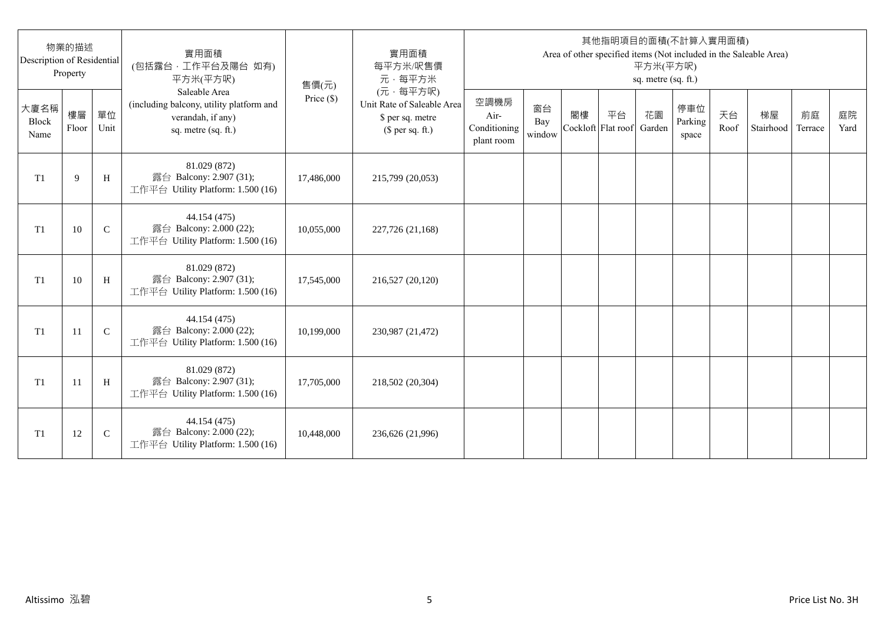| Description of Residential | 物業的描述<br>Property |              | 實用面積<br>(包括露台,工作平台及陽台 如有)<br>平方米(平方呎)                                                                 | 售價(元)      | 實用面積<br>每平方米/呎售價<br>元·每平方米                                                     |                                            |                     |                          |    | 平方米(平方呎)<br>sq. metre (sq. ft.) | 其他指明項目的面積(不計算入實用面積)     |            | Area of other specified items (Not included in the Saleable Area) |               |            |
|----------------------------|-------------------|--------------|-------------------------------------------------------------------------------------------------------|------------|--------------------------------------------------------------------------------|--------------------------------------------|---------------------|--------------------------|----|---------------------------------|-------------------------|------------|-------------------------------------------------------------------|---------------|------------|
| 大廈名稱<br>Block<br>Name      | 樓層<br>Floor       | 單位<br>Unit   | Saleable Area<br>(including balcony, utility platform and<br>verandah, if any)<br>sq. metre (sq. ft.) | Price (\$) | (元·每平方呎)<br>Unit Rate of Saleable Area<br>\$ per sq. metre<br>$$$ per sq. ft.) | 空調機房<br>Air-<br>Conditioning<br>plant room | 窗台<br>Bay<br>window | 閣樓<br>Cockloft Flat roof | 平台 | 花園<br>Garden                    | 停車位<br>Parking<br>space | 天台<br>Roof | 梯屋<br>Stairhood                                                   | 前庭<br>Terrace | 庭院<br>Yard |
| T <sub>1</sub>             | 9                 | H            | 81.029 (872)<br>露台 Balcony: 2.907 (31);<br>工作平台 Utility Platform: 1.500 (16)                          | 17,486,000 | 215,799 (20,053)                                                               |                                            |                     |                          |    |                                 |                         |            |                                                                   |               |            |
| T <sub>1</sub>             | 10                | $\mathsf{C}$ | 44.154 (475)<br>露台 Balcony: 2.000 (22);<br>工作平台 Utility Platform: 1.500 (16)                          | 10,055,000 | 227,726 (21,168)                                                               |                                            |                     |                          |    |                                 |                         |            |                                                                   |               |            |
| T1                         | 10                | H            | 81.029 (872)<br>露台 Balcony: 2.907 (31);<br>工作平台 Utility Platform: 1.500 (16)                          | 17,545,000 | 216,527 (20,120)                                                               |                                            |                     |                          |    |                                 |                         |            |                                                                   |               |            |
| T1                         | 11                | $\mathbf C$  | 44.154 (475)<br>露台 Balcony: 2.000 (22);<br>工作平台 Utility Platform: 1.500 (16)                          | 10,199,000 | 230,987 (21,472)                                                               |                                            |                     |                          |    |                                 |                         |            |                                                                   |               |            |
| T1                         | -11               | H            | 81.029 (872)<br>露台 Balcony: 2.907 (31);<br>工作平台 Utility Platform: 1.500 (16)                          | 17,705,000 | 218,502 (20,304)                                                               |                                            |                     |                          |    |                                 |                         |            |                                                                   |               |            |
| T <sub>1</sub>             | 12                | $\mathsf{C}$ | 44.154 (475)<br>露台 Balcony: 2.000 (22);<br>工作平台 Utility Platform: 1.500 (16)                          | 10,448,000 | 236,626 (21,996)                                                               |                                            |                     |                          |    |                                 |                         |            |                                                                   |               |            |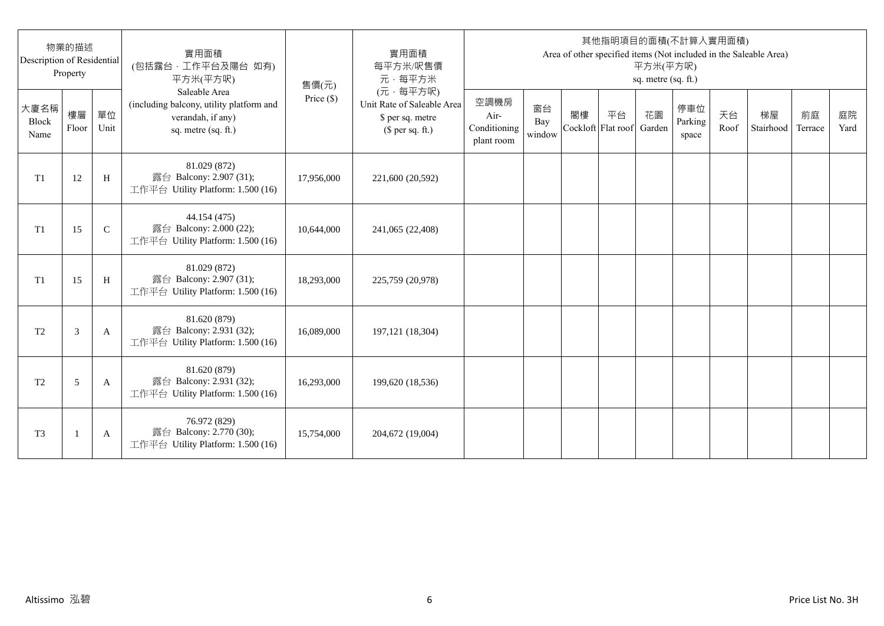| Description of Residential | 物業的描述<br>Property |               | 實用面積<br>(包括露台,工作平台及陽台 如有)<br>平方米(平方呎)                                                                 | 售價(元)        | 實用面積<br>每平方米/呎售價<br>元·每平方米                                                     |                                            |                     |                          |    | 平方米(平方呎)<br>sq. metre (sq. ft.) | 其他指明項目的面積(不計算入實用面積)     |            | Area of other specified items (Not included in the Saleable Area) |               |            |
|----------------------------|-------------------|---------------|-------------------------------------------------------------------------------------------------------|--------------|--------------------------------------------------------------------------------|--------------------------------------------|---------------------|--------------------------|----|---------------------------------|-------------------------|------------|-------------------------------------------------------------------|---------------|------------|
| 大廈名稱<br>Block<br>Name      | 樓層<br>Floor       | 單位<br>Unit    | Saleable Area<br>(including balcony, utility platform and<br>verandah, if any)<br>sq. metre (sq. ft.) | Price $(\$)$ | (元·每平方呎)<br>Unit Rate of Saleable Area<br>\$ per sq. metre<br>$$$ per sq. ft.) | 空調機房<br>Air-<br>Conditioning<br>plant room | 窗台<br>Bay<br>window | 閣樓<br>Cockloft Flat roof | 平台 | 花園<br>Garden                    | 停車位<br>Parking<br>space | 天台<br>Roof | 梯屋<br>Stairhood                                                   | 前庭<br>Terrace | 庭院<br>Yard |
| T1                         | 12                | H             | 81.029 (872)<br>露台 Balcony: 2.907 (31);<br>工作平台 Utility Platform: 1.500 (16)                          | 17,956,000   | 221,600 (20,592)                                                               |                                            |                     |                          |    |                                 |                         |            |                                                                   |               |            |
| T1                         | 15                | $\mathcal{C}$ | 44.154 (475)<br>露台 Balcony: 2.000 (22);<br>工作平台 Utility Platform: 1.500 (16)                          | 10,644,000   | 241,065 (22,408)                                                               |                                            |                     |                          |    |                                 |                         |            |                                                                   |               |            |
| T1                         | 15                | H             | 81.029 (872)<br>露台 Balcony: 2.907 (31);<br>工作平台 Utility Platform: 1.500 (16)                          | 18,293,000   | 225,759 (20,978)                                                               |                                            |                     |                          |    |                                 |                         |            |                                                                   |               |            |
| T <sub>2</sub>             | 3                 | A             | 81.620 (879)<br>露台 Balcony: 2.931 (32);<br>工作平台 Utility Platform: 1.500 (16)                          | 16,089,000   | 197,121 (18,304)                                                               |                                            |                     |                          |    |                                 |                         |            |                                                                   |               |            |
| T <sub>2</sub>             | 5                 | A             | 81.620 (879)<br>露台 Balcony: 2.931 (32);<br>工作平台 Utility Platform: 1.500 (16)                          | 16,293,000   | 199,620 (18,536)                                                               |                                            |                     |                          |    |                                 |                         |            |                                                                   |               |            |
| T <sub>3</sub>             |                   | A             | 76.972 (829)<br>露台 Balcony: 2.770 (30);<br>工作平台 Utility Platform: 1.500 (16)                          | 15,754,000   | 204,672 (19,004)                                                               |                                            |                     |                          |    |                                 |                         |            |                                                                   |               |            |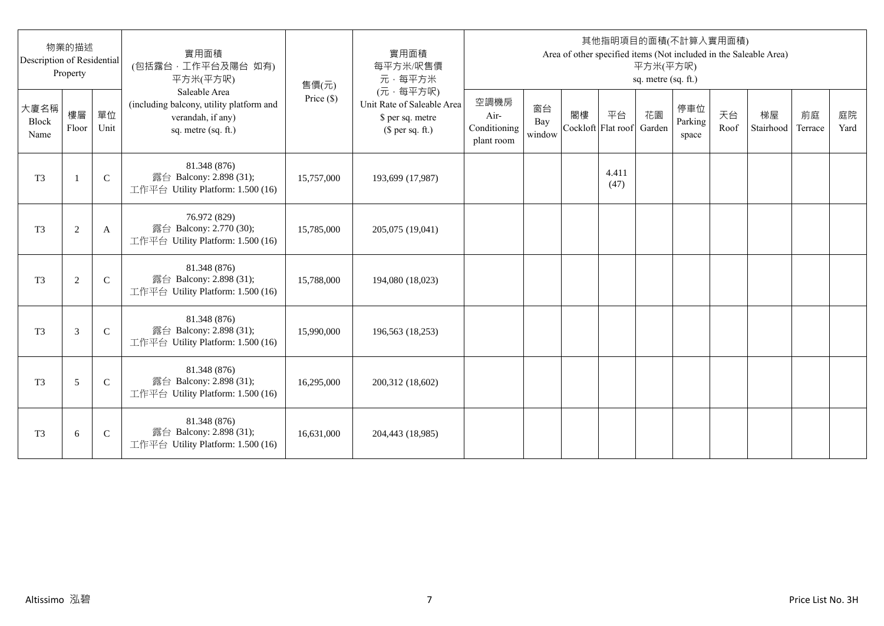| Description of Residential | 物業的描述<br>Property |              | 實用面積<br>(包括露台,工作平台及陽台 如有)<br>平方米(平方呎)                                                                 | 售價(元)      | 實用面積<br>每平方米/呎售價<br>元·每平方米                                                     |                                            |                     |    |                          | 平方米(平方呎)<br>sq. metre (sq. ft.) | 其他指明項目的面積(不計算入實用面積)     |            | Area of other specified items (Not included in the Saleable Area) |               |            |
|----------------------------|-------------------|--------------|-------------------------------------------------------------------------------------------------------|------------|--------------------------------------------------------------------------------|--------------------------------------------|---------------------|----|--------------------------|---------------------------------|-------------------------|------------|-------------------------------------------------------------------|---------------|------------|
| 大廈名稱<br>Block<br>Name      | 樓層<br>Floor       | 單位<br>Unit   | Saleable Area<br>(including balcony, utility platform and<br>verandah, if any)<br>sq. metre (sq. ft.) | Price (\$) | (元·每平方呎)<br>Unit Rate of Saleable Area<br>\$ per sq. metre<br>$$$ per sq. ft.) | 空調機房<br>Air-<br>Conditioning<br>plant room | 窗台<br>Bay<br>window | 閣樓 | 平台<br>Cockloft Flat roof | 花園<br>Garden                    | 停車位<br>Parking<br>space | 天台<br>Roof | 梯屋<br>Stairhood                                                   | 前庭<br>Terrace | 庭院<br>Yard |
| T <sub>3</sub>             | $\mathbf{1}$      | $\mathsf{C}$ | 81.348 (876)<br>露台 Balcony: 2.898 (31);<br>工作平台 Utility Platform: 1.500 (16)                          | 15,757,000 | 193,699 (17,987)                                                               |                                            |                     |    | 4.411<br>(47)            |                                 |                         |            |                                                                   |               |            |
| T <sub>3</sub>             | $\overline{c}$    | A            | 76.972 (829)<br>露台 Balcony: 2.770 (30);<br>工作平台 Utility Platform: 1.500 (16)                          | 15,785,000 | 205,075 (19,041)                                                               |                                            |                     |    |                          |                                 |                         |            |                                                                   |               |            |
| T <sub>3</sub>             | $\mathfrak{2}$    | $\mathsf{C}$ | 81.348 (876)<br>露台 Balcony: 2.898 (31);<br>工作平台 Utility Platform: 1.500 (16)                          | 15,788,000 | 194,080 (18,023)                                                               |                                            |                     |    |                          |                                 |                         |            |                                                                   |               |            |
| T <sub>3</sub>             | 3                 | $\mathsf{C}$ | 81.348 (876)<br>露台 Balcony: 2.898 (31);<br>工作平台 Utility Platform: 1.500 (16)                          | 15,990,000 | 196,563 (18,253)                                                               |                                            |                     |    |                          |                                 |                         |            |                                                                   |               |            |
| T <sub>3</sub>             | 5                 | $\mathsf{C}$ | 81.348 (876)<br>露台 Balcony: 2.898 (31);<br>工作平台 Utility Platform: 1.500 (16)                          | 16,295,000 | 200,312 (18,602)                                                               |                                            |                     |    |                          |                                 |                         |            |                                                                   |               |            |
| T <sub>3</sub>             | 6                 | $\mathsf{C}$ | 81.348 (876)<br>露台 Balcony: 2.898 (31);<br>工作平台 Utility Platform: 1.500 (16)                          | 16,631,000 | 204,443 (18,985)                                                               |                                            |                     |    |                          |                                 |                         |            |                                                                   |               |            |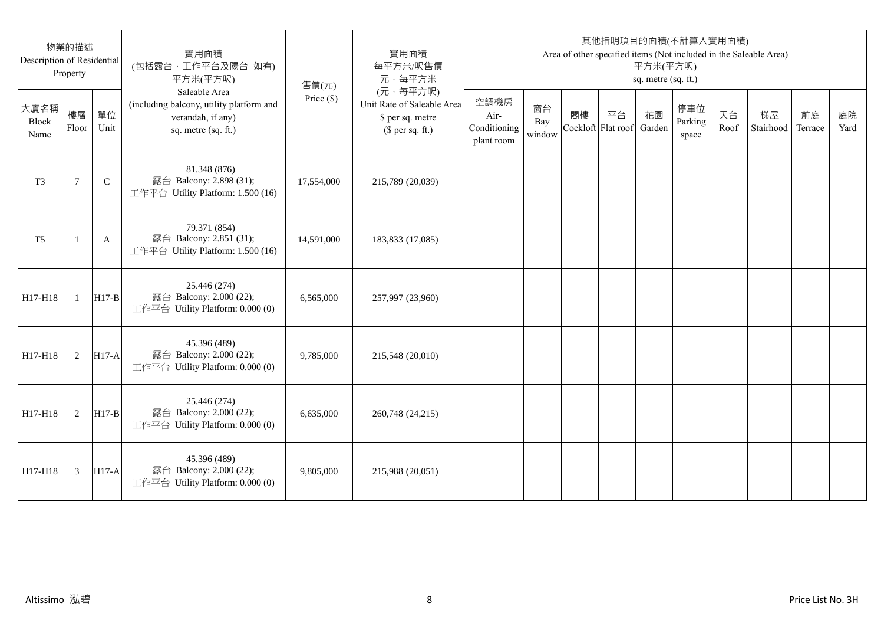| Description of Residential | 物業的描述<br>Property |              | 實用面積<br>(包括露台,工作平台及陽台 如有)<br>平方米(平方呎)                                                                 | 售價(元)        | 實用面積<br>每平方米/呎售價<br>元·每平方米                                                     |                                            |                     |                          |    | 平方米(平方呎)<br>sq. metre (sq. ft.) | 其他指明項目的面積(不計算入實用面積)     |            | Area of other specified items (Not included in the Saleable Area) |               |            |
|----------------------------|-------------------|--------------|-------------------------------------------------------------------------------------------------------|--------------|--------------------------------------------------------------------------------|--------------------------------------------|---------------------|--------------------------|----|---------------------------------|-------------------------|------------|-------------------------------------------------------------------|---------------|------------|
| 大廈名稱<br>Block<br>Name      | 樓層<br>Floor       | 單位<br>Unit   | Saleable Area<br>(including balcony, utility platform and<br>verandah, if any)<br>sq. metre (sq. ft.) | Price $(\$)$ | (元·每平方呎)<br>Unit Rate of Saleable Area<br>\$ per sq. metre<br>$$$ per sq. ft.) | 空調機房<br>Air-<br>Conditioning<br>plant room | 窗台<br>Bay<br>window | 閣樓<br>Cockloft Flat roof | 平台 | 花園<br>Garden                    | 停車位<br>Parking<br>space | 天台<br>Roof | 梯屋<br>Stairhood                                                   | 前庭<br>Terrace | 庭院<br>Yard |
| T <sub>3</sub>             | 7                 | $\mathsf{C}$ | 81.348 (876)<br>露台 Balcony: 2.898 (31);<br>工作平台 Utility Platform: 1.500 (16)                          | 17,554,000   | 215,789 (20,039)                                                               |                                            |                     |                          |    |                                 |                         |            |                                                                   |               |            |
| T <sub>5</sub>             | -1                | A            | 79.371 (854)<br>露台 Balcony: 2.851 (31);<br>工作平台 Utility Platform: 1.500 (16)                          | 14,591,000   | 183,833 (17,085)                                                               |                                            |                     |                          |    |                                 |                         |            |                                                                   |               |            |
| H17-H18                    | $\mathbf{1}$      | $H17-B$      | 25.446 (274)<br>露台 Balcony: 2.000 (22);<br>工作平台 Utility Platform: 0.000 (0)                           | 6,565,000    | 257,997 (23,960)                                                               |                                            |                     |                          |    |                                 |                         |            |                                                                   |               |            |
| H17-H18                    | 2                 | $H17-A$      | 45.396 (489)<br>露台 Balcony: 2.000 (22);<br>工作平台 Utility Platform: 0.000 (0)                           | 9,785,000    | 215,548 (20,010)                                                               |                                            |                     |                          |    |                                 |                         |            |                                                                   |               |            |
| H17-H18                    | 2                 | $H17-B$      | 25.446 (274)<br>露台 Balcony: 2.000 (22);<br>工作平台 Utility Platform: 0.000 (0)                           | 6,635,000    | 260,748 (24,215)                                                               |                                            |                     |                          |    |                                 |                         |            |                                                                   |               |            |
| H17-H18                    | 3                 | $H17-A$      | 45.396 (489)<br>露台 Balcony: 2.000 (22);<br>工作平台 Utility Platform: 0.000 (0)                           | 9,805,000    | 215,988 (20,051)                                                               |                                            |                     |                          |    |                                 |                         |            |                                                                   |               |            |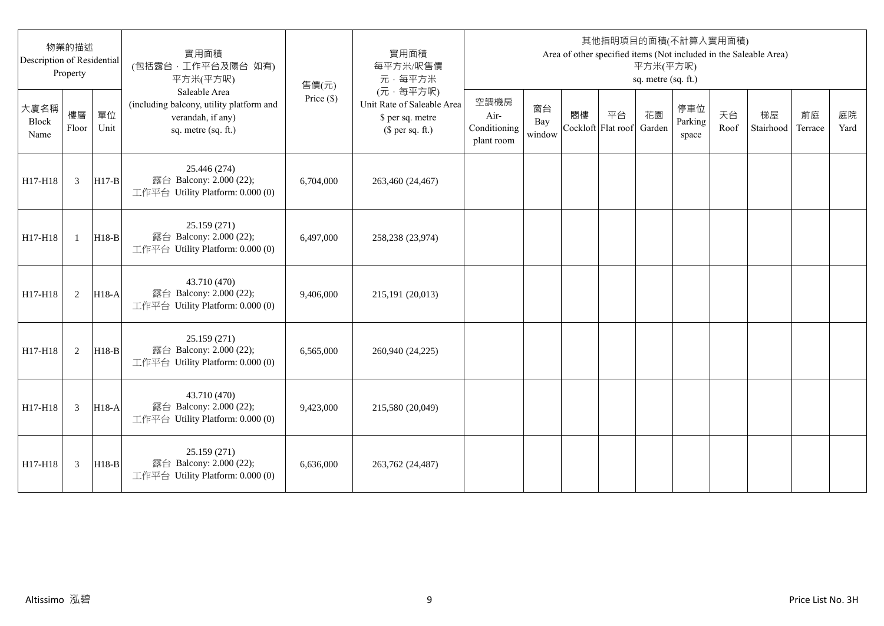| Description of Residential | 物業的描述<br>Property |            | 實用面積<br>(包括露台,工作平台及陽台 如有)<br>平方米(平方呎)                                                                 | 售價(元)        | 實用面積<br>每平方米/呎售價<br>元·每平方米                                                     |                                            |                     |                          |    | 平方米(平方呎)<br>sq. metre (sq. ft.) | 其他指明項目的面積(不計算入實用面積)     |            | Area of other specified items (Not included in the Saleable Area) |               |            |
|----------------------------|-------------------|------------|-------------------------------------------------------------------------------------------------------|--------------|--------------------------------------------------------------------------------|--------------------------------------------|---------------------|--------------------------|----|---------------------------------|-------------------------|------------|-------------------------------------------------------------------|---------------|------------|
| 大廈名稱<br>Block<br>Name      | 樓層<br>Floor       | 單位<br>Unit | Saleable Area<br>(including balcony, utility platform and<br>verandah, if any)<br>sq. metre (sq. ft.) | Price $(\$)$ | (元·每平方呎)<br>Unit Rate of Saleable Area<br>\$ per sq. metre<br>$$$ per sq. ft.) | 空調機房<br>Air-<br>Conditioning<br>plant room | 窗台<br>Bay<br>window | 閣樓<br>Cockloft Flat roof | 平台 | 花園<br>Garden                    | 停車位<br>Parking<br>space | 天台<br>Roof | 梯屋<br>Stairhood                                                   | 前庭<br>Terrace | 庭院<br>Yard |
| H17-H18                    | 3                 | $H17-B$    | 25.446 (274)<br>露台 Balcony: 2.000 (22);<br>工作平台 Utility Platform: 0.000 (0)                           | 6,704,000    | 263,460 (24,467)                                                               |                                            |                     |                          |    |                                 |                         |            |                                                                   |               |            |
| H17-H18                    | $\mathbf{1}$      | $H18-B$    | 25.159 (271)<br>露台 Balcony: 2.000 (22);<br>工作平台 Utility Platform: 0.000 (0)                           | 6.497,000    | 258,238 (23,974)                                                               |                                            |                     |                          |    |                                 |                         |            |                                                                   |               |            |
| H17-H18                    | 2                 | $H18-A$    | 43.710 (470)<br>露台 Balcony: 2.000 (22);<br>工作平台 Utility Platform: 0.000 (0)                           | 9,406,000    | 215,191 (20,013)                                                               |                                            |                     |                          |    |                                 |                         |            |                                                                   |               |            |
| H17-H18                    | 2                 | $H18-B$    | 25.159 (271)<br>露台 Balcony: 2.000 (22);<br>工作平台 Utility Platform: 0.000 (0)                           | 6,565,000    | 260,940 (24,225)                                                               |                                            |                     |                          |    |                                 |                         |            |                                                                   |               |            |
| H17-H18                    | 3                 | H18-A      | 43.710 (470)<br>露台 Balcony: 2.000 (22);<br>工作平台 Utility Platform: 0.000 (0)                           | 9,423,000    | 215,580 (20,049)                                                               |                                            |                     |                          |    |                                 |                         |            |                                                                   |               |            |
| H17-H18                    | 3                 | $H18-B$    | 25.159 (271)<br>露台 Balcony: 2.000 (22);<br>工作平台 Utility Platform: 0.000 (0)                           | 6.636,000    | 263,762 (24,487)                                                               |                                            |                     |                          |    |                                 |                         |            |                                                                   |               |            |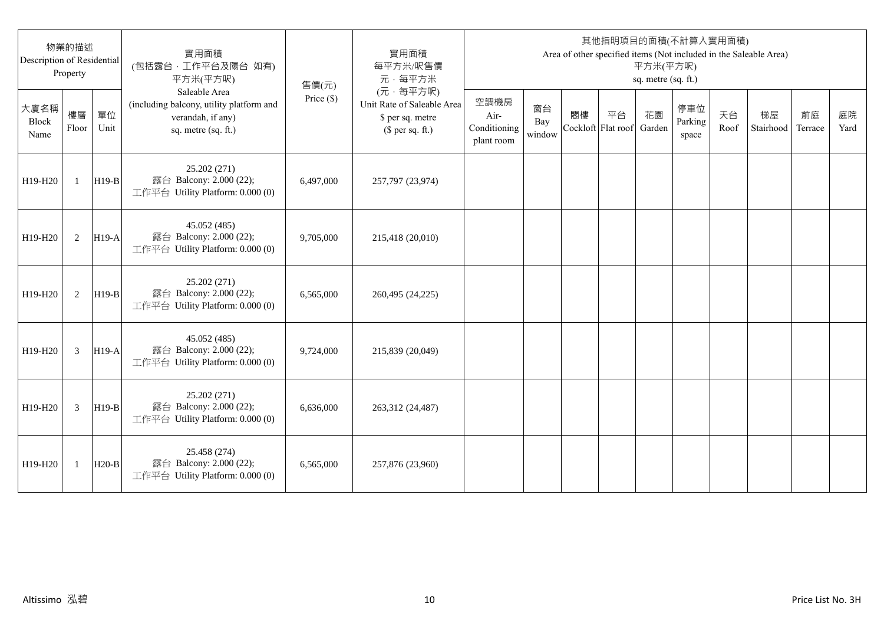| Description of Residential   | 物業的描述<br>Property |            | 實用面積<br>(包括露台,工作平台及陽台 如有)<br>平方米(平方呎)                                                                 | 售價(元)      | 實用面積<br>每平方米/呎售價<br>元·每平方米                                                     |                                            |                     |                          |    | 平方米(平方呎)<br>sq. metre (sq. ft.) | 其他指明項目的面積(不計算入實用面積)     |            | Area of other specified items (Not included in the Saleable Area) |               |            |
|------------------------------|-------------------|------------|-------------------------------------------------------------------------------------------------------|------------|--------------------------------------------------------------------------------|--------------------------------------------|---------------------|--------------------------|----|---------------------------------|-------------------------|------------|-------------------------------------------------------------------|---------------|------------|
| 大廈名稱<br><b>Block</b><br>Name | 樓層<br>Floor       | 單位<br>Unit | Saleable Area<br>(including balcony, utility platform and<br>verandah, if any)<br>sq. metre (sq. ft.) | Price (\$) | (元·每平方呎)<br>Unit Rate of Saleable Area<br>\$ per sq. metre<br>$$$ per sq. ft.) | 空調機房<br>Air-<br>Conditioning<br>plant room | 窗台<br>Bay<br>window | 閣樓<br>Cockloft Flat roof | 平台 | 花園<br>Garden                    | 停車位<br>Parking<br>space | 天台<br>Roof | 梯屋<br>Stairhood                                                   | 前庭<br>Terrace | 庭院<br>Yard |
| H19-H20                      | $\mathbf{1}$      | $H19-B$    | 25.202 (271)<br>露台 Balcony: 2.000 (22);<br>工作平台 Utility Platform: 0.000 (0)                           | 6,497,000  | 257,797 (23,974)                                                               |                                            |                     |                          |    |                                 |                         |            |                                                                   |               |            |
| H19-H20                      | 2                 | $H19-A$    | 45.052 (485)<br>露台 Balcony: 2.000 (22);<br>工作平台 Utility Platform: 0.000 (0)                           | 9,705,000  | 215,418 (20,010)                                                               |                                            |                     |                          |    |                                 |                         |            |                                                                   |               |            |
| H19-H20                      | 2                 | $H19-B$    | 25.202 (271)<br>露台 Balcony: 2.000 (22);<br>工作平台 Utility Platform: 0.000 (0)                           | 6,565,000  | 260,495 (24,225)                                                               |                                            |                     |                          |    |                                 |                         |            |                                                                   |               |            |
| H19-H20                      | 3                 | $H19-A$    | 45.052 (485)<br>露台 Balcony: 2.000 (22);<br>工作平台 Utility Platform: 0.000 (0)                           | 9,724,000  | 215,839 (20,049)                                                               |                                            |                     |                          |    |                                 |                         |            |                                                                   |               |            |
| H19-H20                      | 3                 | $H19-B$    | 25.202 (271)<br>露台 Balcony: 2.000 (22);<br>工作平台 Utility Platform: 0.000 (0)                           | 6,636,000  | 263,312 (24,487)                                                               |                                            |                     |                          |    |                                 |                         |            |                                                                   |               |            |
| H19-H20                      | 1                 | $H20-B$    | 25.458 (274)<br>露台 Balcony: 2.000 (22);<br>工作平台 Utility Platform: 0.000 (0)                           | 6,565,000  | 257,876 (23,960)                                                               |                                            |                     |                          |    |                                 |                         |            |                                                                   |               |            |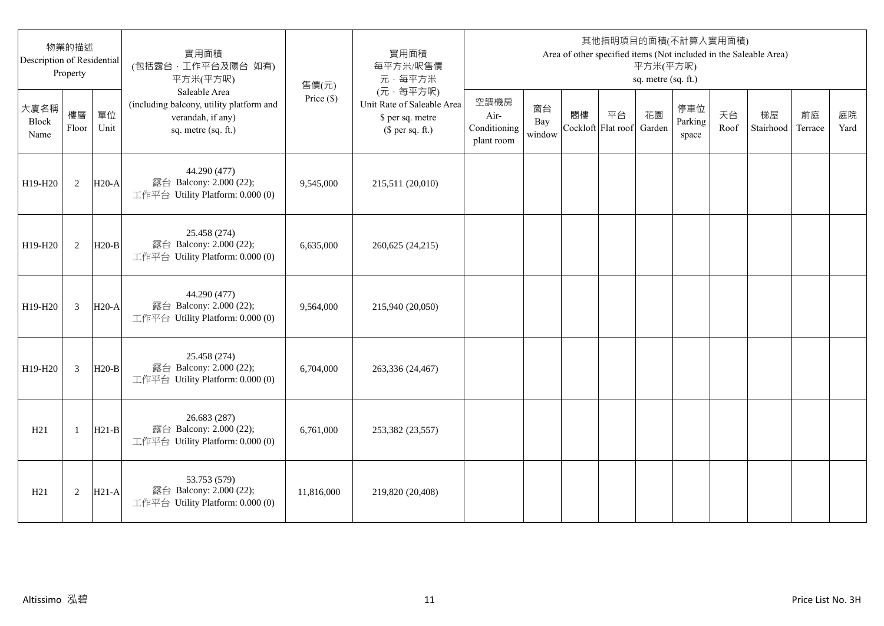| 物業的描述<br>Description of Residential<br>Property |                |            | 實用面積<br>(包括露台,工作平台及陽台 如有)<br>平方米(平方呎)                                                                 | 售價(元)        | 實用面積<br>每平方米/呎售價<br>元·每平方米                                                     | 其他指明項目的面積(不計算入實用面積)<br>Area of other specified items (Not included in the Saleable Area)<br>平方米(平方呎)<br>sq. metre (sq. ft.) |                     |                          |    |              |                         |            |                 |               |            |
|-------------------------------------------------|----------------|------------|-------------------------------------------------------------------------------------------------------|--------------|--------------------------------------------------------------------------------|-----------------------------------------------------------------------------------------------------------------------------|---------------------|--------------------------|----|--------------|-------------------------|------------|-----------------|---------------|------------|
| 大廈名稱<br>Block<br>Name                           | 樓層<br>Floor    | 單位<br>Unit | Saleable Area<br>(including balcony, utility platform and<br>verandah, if any)<br>sq. metre (sq. ft.) | Price $(\$)$ | (元·每平方呎)<br>Unit Rate of Saleable Area<br>\$ per sq. metre<br>$$$ per sq. ft.) | 空調機房<br>Air-<br>Conditioning<br>plant room                                                                                  | 窗台<br>Bay<br>window | 閣樓<br>Cockloft Flat roof | 平台 | 花園<br>Garden | 停車位<br>Parking<br>space | 天台<br>Roof | 梯屋<br>Stairhood | 前庭<br>Terrace | 庭院<br>Yard |
| H19-H20                                         | 2              | $H20-A$    | 44.290 (477)<br>露台 Balcony: 2.000 (22);<br>工作平台 Utility Platform: 0.000 (0)                           | 9,545,000    | 215,511 (20,010)                                                               |                                                                                                                             |                     |                          |    |              |                         |            |                 |               |            |
| H19-H20                                         | 2              | $H20-B$    | 25.458 (274)<br>露台 Balcony: 2.000 (22);<br>工作平台 Utility Platform: 0.000 (0)                           | 6,635,000    | 260,625 (24,215)                                                               |                                                                                                                             |                     |                          |    |              |                         |            |                 |               |            |
| H19-H20                                         | 3              | $H20-A$    | 44.290 (477)<br>露台 Balcony: 2.000 (22);<br>工作平台 Utility Platform: 0.000 (0)                           | 9,564,000    | 215,940 (20,050)                                                               |                                                                                                                             |                     |                          |    |              |                         |            |                 |               |            |
| H19-H20                                         | $\overline{3}$ | $H20-B$    | 25.458 (274)<br>露台 Balcony: 2.000 (22);<br>工作平台 Utility Platform: 0.000 (0)                           | 6,704,000    | 263,336 (24,467)                                                               |                                                                                                                             |                     |                          |    |              |                         |            |                 |               |            |
| H21                                             | $\mathbf{1}$   | $H21-B$    | 26.683 (287)<br>露台 Balcony: 2.000 (22);<br>工作平台 Utility Platform: 0.000 (0)                           | 6,761,000    | 253,382 (23,557)                                                               |                                                                                                                             |                     |                          |    |              |                         |            |                 |               |            |
| H21                                             | 2              | $H21-A$    | 53.753 (579)<br>露台 Balcony: 2.000 (22);<br>工作平台 Utility Platform: 0.000 (0)                           | 11,816,000   | 219,820 (20,408)                                                               |                                                                                                                             |                     |                          |    |              |                         |            |                 |               |            |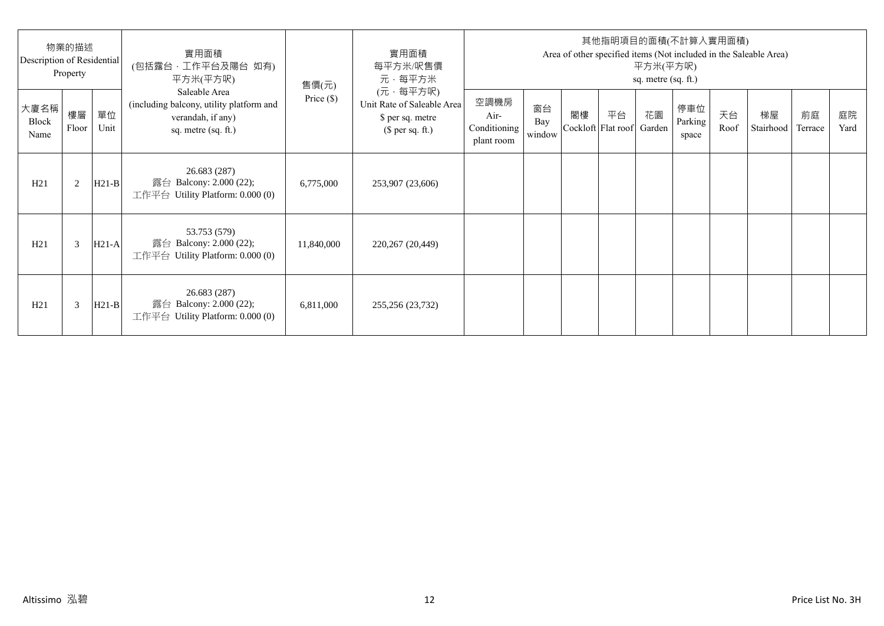| 物業的描述<br>Description of Residential<br>Property |             |            | 實用面積<br>(包括露台·工作平台及陽台 如有)<br>平方米(平方呎)                                                                 | 售價(元)        | 實用面積<br>每平方米/呎售價<br>元·每平方米                                                     | 其他指明項目的面積(不計算入實用面積)<br>Area of other specified items (Not included in the Saleable Area)<br>平方米(平方呎)<br>sq. metre (sq. ft.) |                     |    |                                 |    |                         |            |                 |               |            |
|-------------------------------------------------|-------------|------------|-------------------------------------------------------------------------------------------------------|--------------|--------------------------------------------------------------------------------|-----------------------------------------------------------------------------------------------------------------------------|---------------------|----|---------------------------------|----|-------------------------|------------|-----------------|---------------|------------|
| 大廈名稱<br>Block<br>Name                           | 樓層<br>Floor | 單位<br>Unit | Saleable Area<br>(including balcony, utility platform and<br>verandah, if any)<br>sq. metre (sq. ft.) | Price $(\$)$ | (元·每平方呎)<br>Unit Rate of Saleable Area<br>\$ per sq. metre<br>$$$ per sq. ft.) | 空調機房<br>Air-<br>Conditioning<br>plant room                                                                                  | 窗台<br>Bay<br>window | 閣樓 | 平台<br>Cockloft Flat roof Garden | 花園 | 停車位<br>Parking<br>space | 天台<br>Roof | 梯屋<br>Stairhood | 前庭<br>Terrace | 庭院<br>Yard |
| H21                                             | 2           | $H21-B$    | 26.683 (287)<br>露台 Balcony: 2.000 (22);<br>工作平台 Utility Platform: $0.000(0)$                          | 6,775,000    | 253,907 (23,606)                                                               |                                                                                                                             |                     |    |                                 |    |                         |            |                 |               |            |
| H21                                             | 3           | $H21-A$    | 53.753 (579)<br>露台 Balcony: 2.000 (22);<br>工作平台 Utility Platform: 0.000 (0)                           | 11,840,000   | 220,267 (20,449)                                                               |                                                                                                                             |                     |    |                                 |    |                         |            |                 |               |            |
| H21                                             | 3           | $H21-B$    | 26.683 (287)<br>露台 Balcony: 2.000 (22);<br>工作平台 Utility Platform: $0.000(0)$                          | 6,811,000    | 255,256 (23,732)                                                               |                                                                                                                             |                     |    |                                 |    |                         |            |                 |               |            |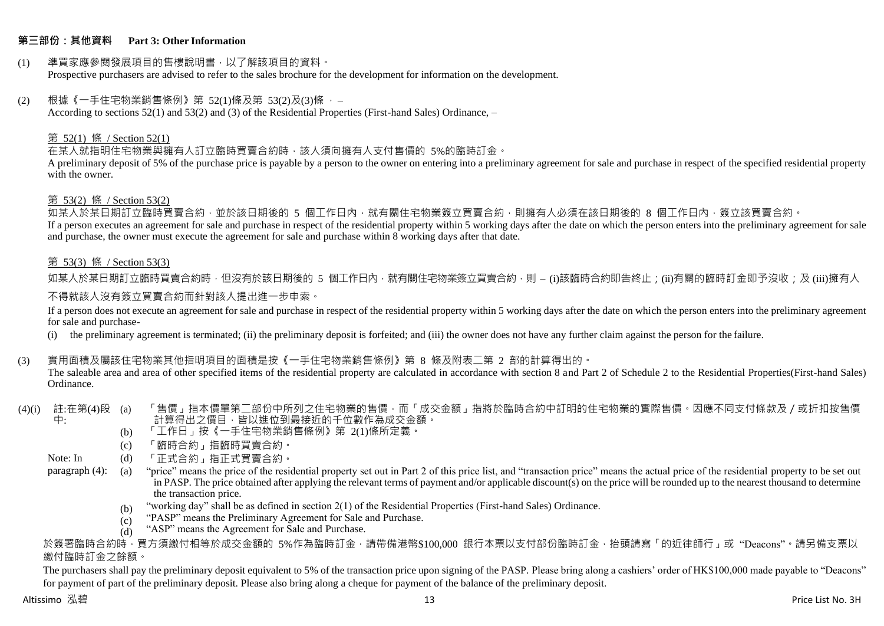#### **第三部份:其他資料 Part 3: Other Information**

#### (1) 準買家應參閱發展項目的售樓說明書,以了解該項目的資料。 Prospective purchasers are advised to refer to the sales brochure for the development for information on the development.

#### $(2)$  根據《一手住宅物業銷售條例》第 52(1)條及第 53(2)及(3)條,

According to sections 52(1) and 53(2) and (3) of the Residential Properties (First-hand Sales) Ordinance, –

#### 第 52(1) 條 / Section 52(1)

在某人就指明住宅物業與擁有人訂立臨時買賣合約時,該人須向擁有人支付售價的 5%的臨時訂金。

A preliminary deposit of 5% of the purchase price is payable by a person to the owner on entering into a preliminary agreement for sale and purchase in respect of the specified residential property with the owner.

#### 第 53(2) 條 / Section 53(2)

—————————————<br>如某人於某日期訂立臨時買賣合約,並於該日期後的 5 個工作日內,就有關住宅物業簽立買賣合約,則擁有人必須在該日期後的 8 個工作日內,簽立該買賣合約。 If a person executes an agreement for sale and purchase in respect of the residential property within 5 working days after the date on which the person enters into the preliminary agreement for sale and purchase, the owner must execute the agreement for sale and purchase within 8 working days after that date.

### 第 53(3) 條 / Section 53(3)

如某人於某日期訂立臨時買賣合約時,但沒有於該日期後的 5 個工作日內,就有關住宅物業簽立買賣合約,則 – (i)該臨時合約即告終止;(ji)有關的臨時訂金即予沒收;及 (iii)擁有人

#### 不得就該人沒有簽立買賣合約而針對該人提出進一步申索。

If a person does not execute an agreement for sale and purchase in respect of the residential property within 5 working days after the date on which the person enters into the preliminary agreement for sale and purchase-

(i) the preliminary agreement is terminated; (ii) the preliminary deposit is forfeited; and (iii) the owner does not have any further claim against the person for the failure.

#### (3) 實用面積及屬該住宅物業其他指明項目的面積是按《一手住宅物業銷售條例》第 8 條及附表二第 2 部的計算得出的。

The saleable area and area of other specified items of the residential property are calculated in accordance with section 8 and Part 2 of Schedule 2 to the Residential Properties(First-hand Sales) Ordinance.

#### (4)(i) 註:在第(4)段 中: 「售價」指本價單第二部份中所列之住宅物業的售價,而「成交金額」指將於臨時合約中訂明的住宅物業的實際售價。因應不同支付條款及/或折扣按售價 計算得出之價目,皆以進位到最接近的千位數作為成交金額。

- (b) 「工作日」按《一手住宅物業銷售條例》第 2(1)條所定義。
- (c) 「臨時合約」指臨時買賣合約。
- Note: In (d) 「正式合約」指正式買賣合約。

paragraph (4): (a) "price" means the price of the residential property set out in Part 2 of this price list, and "transaction price" means the actual price of the residential property to be set out in PASP. The price obtained after applying the relevant terms of payment and/or applicable discount(s) on the price will be rounded up to the nearest thousand to determine the transaction price.

- (b) "working day" shall be as defined in section 2(1) of the Residential Properties (First-hand Sales) Ordinance.
- $(c)$ "PASP" means the Preliminary Agreement for Sale and Purchase.
- $(d)$ "ASP" means the Agreement for Sale and Purchase.

於簽署臨時合約時,買方須繳付相等於成交金額的 5%作為臨時訂金,請帶備港幣\$100,000 銀行本票以支付部份臨時訂金,抬頭請寫「的近律師行」或"Deacons"。請另備支票以 繳付臨時訂金之餘額。

The purchasers shall pay the preliminary deposit equivalent to 5% of the transaction price upon signing of the PASP. Please bring along a cashiers' order of HK\$100,000 made payable to "Deacons" for payment of part of the preliminary deposit. Please also bring along a cheque for payment of the balance of the preliminary deposit.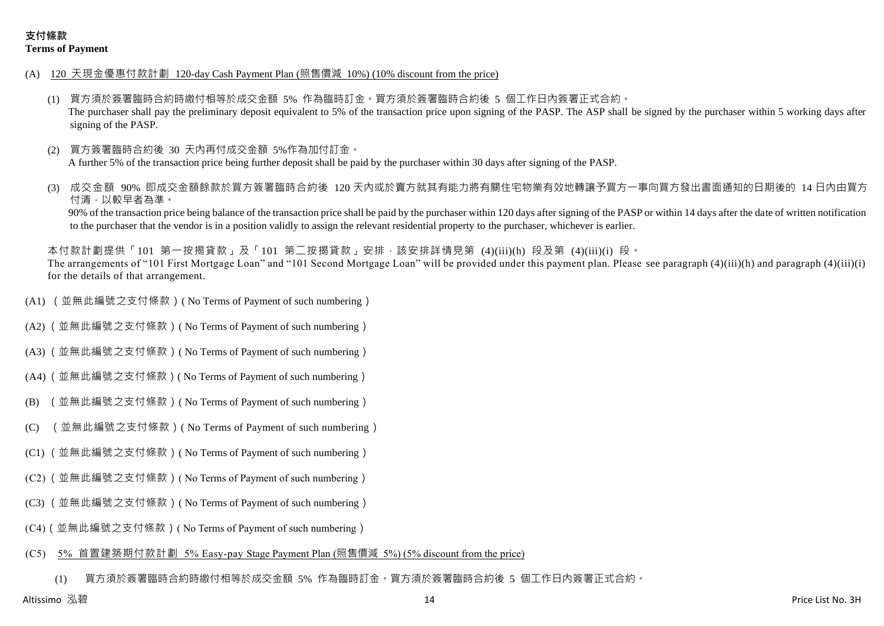- (A) 120 天現金優惠付款計劃 120-day Cash Payment Plan (照售價減 10%) (10% discount from the price)
	- (1) 買方須於簽署臨時合約時繳付相等於成交金額 5% 作為臨時訂金。買方須於簽署臨時合約後 5 個工作日內簽署正式合約。 The purchaser shall pay the preliminary deposit equivalent to 5% of the transaction price upon signing of the PASP. The ASP shall be signed by the purchaser within 5 working days after signing of the PASP.
	- (2) 買方簽署臨時合約後 30 天內再付成交金額 5%作為加付訂金。 A further 5% of the transaction price being further deposit shall be paid by the purchaser within 30 days after signing of the PASP.
	- 成交金額 90% 即成交金額餘款於買方簽署臨時合約後 120 天内或於賣方就其有能力將有關住宅物業有效地轉讓予買方一事向買方發出書面通知的日期後的 14 日內由買方 付清,以較早者為準。

90% of the transaction price being balance of the transaction price shall be paid by the purchaser within 120 days after signing of the PASP or within 14 days after the date of written notification to the purchaser that the vendor is in a position validly to assign the relevant residential property to the purchaser, whichever is earlier.

本付款計劃提供「101 第一按揭貸款」及「101 第二按揭貸款」安排,該安排詳情見第 (4)(iii)(h) 段及第 (4)(iii)(i) 段。 The arrangements of "101 First Mortgage Loan" and "101 Second Mortgage Loan" will be provided under this payment plan. Please see paragraph (4)(iii)(h) and paragraph (4)(iii)(i) for the details of that arrangement.

- (A1) (並無此編號之支付條款)( No Terms of Payment of such numbering)
- (A2) (並無此編號之支付條款)( No Terms of Payment of such numbering)
- (A3) (並無此編號之支付條款)( No Terms of Payment of such numbering)
- (A4) (並無此編號之支付條款)( No Terms of Payment of such numbering)
- (B) (並無此編號之支付條款)( No Terms of Payment of such numbering)
- (C) (並無此編號之支付條款)( No Terms of Payment of such numbering)
- (C1) (並無此編號之支付條款)( No Terms of Payment of such numbering)
- (C2) (並無此編號之支付條款)( No Terms of Payment of such numbering)
- (C3) (並無此編號之支付條款)( No Terms of Payment of such numbering)
- (C4)(並無此編號之支付條款)( No Terms of Payment of such numbering)
- (C5) 5% 首置建築期付款計劃 5% Easy-pay Stage Payment Plan (照售價減 5%) (5% discount from the price)

(1) 買方須於簽署臨時合約時繳付相等於成交金額 5% 作為臨時訂金。買方須於簽署臨時合約後 5 個工作日內簽署正式合約。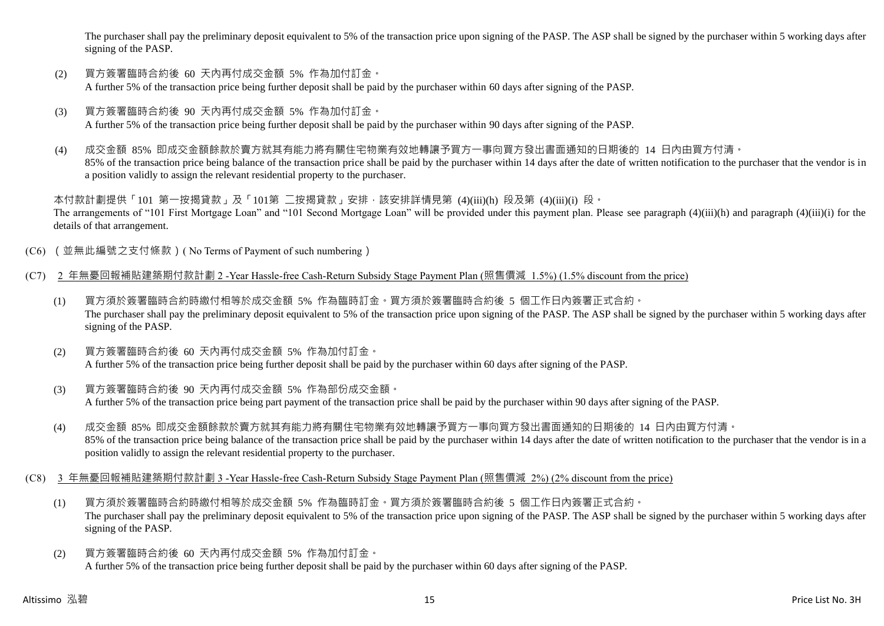The purchaser shall pay the preliminary deposit equivalent to 5% of the transaction price upon signing of the PASP. The ASP shall be signed by the purchaser within 5 working days after signing of the PASP.

- (2) 買方簽署臨時合約後 60 天內再付成交金額 5% 作為加付訂金。 A further 5% of the transaction price being further deposit shall be paid by the purchaser within 60 days after signing of the PASP.
- (3) 買方簽署臨時合約後 90 天內再付成交金額 5% 作為加付訂金。 A further 5% of the transaction price being further deposit shall be paid by the purchaser within 90 days after signing of the PASP.
- (4) 成交金額 85% 即成交金額餘款於賣方就其有能力將有關住宅物業有效地轉讓予買方一事向買方發出書面通知的日期後的 14 日內由買方付清。 85% of the transaction price being balance of the transaction price shall be paid by the purchaser within 14 days after the date of written notification to the purchaser that the vendor is in a position validly to assign the relevant residential property to the purchaser.

本付款計劃提供「101 第一按揭貸款」及「101第 二按揭貸款」安排,該安排詳情見第 (4)(iii)(h) 段及第 (4)(iii)(i) 段。 The arrangements of "101 First Mortgage Loan" and "101 Second Mortgage Loan" will be provided under this payment plan. Please see paragraph (4)(iii)(h) and paragraph (4)(iii)(i) for the details of that arrangement.

- (C6) (並無此編號之支付條款)( No Terms of Payment of such numbering)
- (C7) 2 年無憂回報補貼建築期付款計劃 2 -Year Hassle-free Cash-Return Subsidy Stage Payment Plan (照售價減 1.5%) (1.5% discount from the price)
	- (1) 買方須於簽署臨時合約時繳付相等於成交金額 5% 作為臨時訂金。買方須於簽署臨時合約後 5 個工作日內簽署正式合約。 The purchaser shall pay the preliminary deposit equivalent to 5% of the transaction price upon signing of the PASP. The ASP shall be signed by the purchaser within 5 working days after signing of the PASP.
	- (2) 買方簽署臨時合約後 60 天內再付成交金額 5% 作為加付訂金。 A further 5% of the transaction price being further deposit shall be paid by the purchaser within 60 days after signing of the PASP.
	- (3) 買方簽署臨時合約後 90 天內再付成交金額 5% 作為部份成交金額。 A further 5% of the transaction price being part payment of the transaction price shall be paid by the purchaser within 90 days after signing of the PASP.
	- (4) 成交金額 85% 即成交金額餘款於賣方就其有能力將有關住宅物業有效地轉讓予買方一事向買方發出書面通知的日期後的 14 日內由買方付清。 85% of the transaction price being balance of the transaction price shall be paid by the purchaser within 14 days after the date of written notification to the purchaser that the vendor is in a position validly to assign the relevant residential property to the purchaser.
- (C8) 3 年無憂回報補貼建築期付款計劃 3 -Year Hassle-free Cash-Return Subsidy Stage Payment Plan (照售價減 2%) (2% discount from the price)
	- (1) 買方須於簽署臨時合約時繳付相等於成交金額 5% 作為臨時訂金。買方須於簽署臨時合約後 5 個工作日內簽署正式合約。 The purchaser shall pay the preliminary deposit equivalent to 5% of the transaction price upon signing of the PASP. The ASP shall be signed by the purchaser within 5 working days after signing of the PASP.
	- (2) 買方簽署臨時合約後 60 天內再付成交金額 5% 作為加付訂金。 A further 5% of the transaction price being further deposit shall be paid by the purchaser within 60 days after signing of the PASP.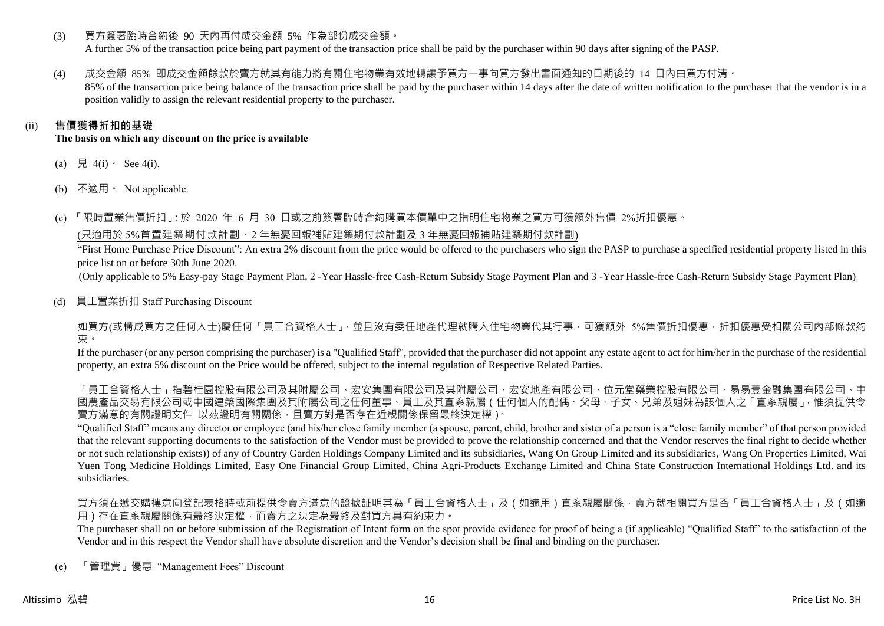(3) 買方簽署臨時合約後 90 天內再付成交金額 5% 作為部份成交金額。

A further 5% of the transaction price being part payment of the transaction price shall be paid by the purchaser within 90 days after signing of the PASP.

(4) 成交金額 85% 即成交金額餘款於賣方就其有能力將有關住宅物業有效地轉讓予買方一事向買方發出書面通知的日期後的 14 日內由買方付清。

85% of the transaction price being balance of the transaction price shall be paid by the purchaser within 14 days after the date of written notification to the purchaser that the vendor is in a position validly to assign the relevant residential property to the purchaser.

## (ii) **售價獲得折扣的基礎**

**The basis on which any discount on the price is available**

- (a) 見 4(i)  $\text{See } 4(i)$ .
- (b) 不適用。 Not applicable.

(c) 「限時置業售價折扣」:於 2020 年 6 月 30 日或之前簽署臨時合約購買本價單中之指明住宅物業之買方可獲額外售價 2%折扣優惠。

(只適用於 5%首置建築期付款計劃、2 年無憂回報補貼建築期付款計劃及 3 年無憂回報補貼建築期付款計劃)

"First Home Purchase Price Discount": An extra 2% discount from the price would be offered to the purchasers who sign the PASP to purchase a specified residential property listed in this price list on or before 30th June 2020.

(Only applicable to 5% Easy-pay Stage Payment Plan, 2 -Year Hassle-free Cash-Return Subsidy Stage Payment Plan and 3 -Year Hassle-free Cash-Return Subsidy Stage Payment Plan)

(d) 員工置業折扣 Staff Purchasing Discount

如買方(或構成買方之任何人士)屬任何「員工合資格人士」,並且沒有委任地產代理就購入住宅物業代其行事,可獲額外 5%售價折扣優惠,折扣優惠受相關公司內部條款約 束。

If the purchaser (or any person comprising the purchaser) is a "Qualified Staff", provided that the purchaser did not appoint any estate agent to act for him/her in the purchase of the residential property, an extra 5% discount on the Price would be offered, subject to the internal regulation of Respective Related Parties.

「員工合資格人士」指碧桂園控股有限公司及其國有限公司及其內屬公司、宏安地產有限公司、位元堂藥業控股有限公司、易易壹金融集團有限公司、中 國農產品交易有限公司或中國建築國際集團及其附屬公司之任何董事、員工及其直系親屬(任何個人的配偶、父母、子女、兄弟及姐妹為該個人之「直系親屬」,惟須提供令 賣方滿意的有關證明文件 以茲證明有關關係,且賣方對是否存在近親關係保留最終決定權)。

"Qualified Staff" means any director or employee (and his/her close family member (a spouse, parent, child, brother and sister of a person is a "close family member" of that person provided that the relevant supporting documents to the satisfaction of the Vendor must be provided to prove the relationship concerned and that the Vendor reserves the final right to decide whether or not such relationship exists)) of any of Country Garden Holdings Company Limited and its subsidiaries, Wang On Group Limited and its subsidiaries, Wang On Properties Limited, Wai Yuen Tong Medicine Holdings Limited, Easy One Financial Group Limited, China Agri-Products Exchange Limited and China State Construction International Holdings Ltd. and its subsidiaries.

買方須在遞交購樓意向登記表格時或前提供令賣方滿意的證據証明其為「員工合資格人士」及(如適用)直系親屬關係,賣方就相關買方是否「員工合資格人士」及(如適 用)存在直系親屬關係有最終決定權,而賣方之決定為最終及對買方具有約束力。

The purchaser shall on or before submission of the Registration of Intent form on the spot provide evidence for proof of being a (if applicable) "Qualified Staff" to the satisfaction of the Vendor and in this respect the Vendor shall have absolute discretion and the Vendor's decision shall be final and binding on the purchaser.

(e) 「管理費」優惠 "Management Fees" Discount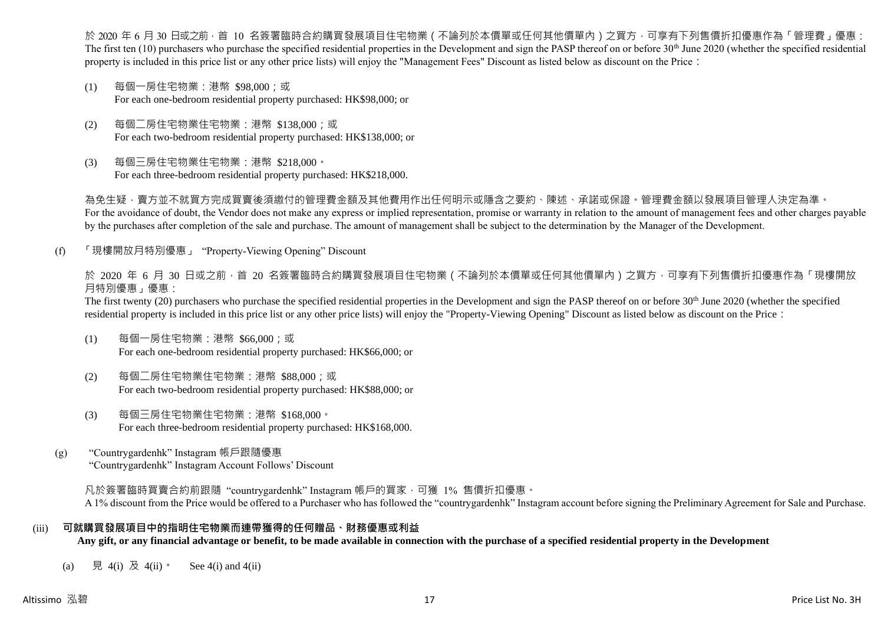於 2020 年 6 月 30 日或之前 · 首 10 名簽署臨時合約購買發展項目住宅物業(不論列於本價單或任何其他價單內)之買方 · 可享有下列售價折扣優惠作為「管理費」優惠: The first ten  $(10)$  purchasers who purchase the specified residential properties in the Development and sign the PASP thereof on or before 30<sup>th</sup> June 2020 (whether the specified residential property is included in this price list or any other price lists) will enjoy the "Management Fees" Discount as listed below as discount on the Price:

- (1) 每個一房住宅物業:港幣 \$98,000;或 For each one-bedroom residential property purchased: HK\$98,000; or
- (2) 每個二房住宅物業住宅物業:港幣 \$138,000;或 For each two-bedroom residential property purchased: HK\$138,000; or
- (3) 每個三房住宅物業住宅物業:港幣 \$218,000。 For each three-bedroom residential property purchased: HK\$218,000.

為免生疑,賣方並不就買方完成買賣後須繳付的管理費金額及其他費用作出任何明示或隱含之要約、陳述、承諾或保證。管理費金額以發展項目管理人決定為準。 For the avoidance of doubt, the Vendor does not make any express or implied representation, promise or warranty in relation to the amount of management fees and other charges payable by the purchases after completion of the sale and purchase. The amount of management shall be subject to the determination by the Manager of the Development.

(f) 「現樓開放月特別優惠」 "Property-Viewing Opening" Discount

於 2020 年 6 月 30 日或之前 · 首 20 名簽署臨時合約購買發展項目住宅物業 ( 不論列於本價單或任何其他價單內 ) 之買方 · 可享有下列售價折扣優惠作為「現樓開放 月特別優惠」優惠:

The first twenty (20) purchasers who purchase the specified residential properties in the Development and sign the PASP thereof on or before 30<sup>th</sup> June 2020 (whether the specified residential property is included in this price list or any other price lists) will enjoy the "Property-Viewing Opening" Discount as listed below as discount on the Price:

- (1) 每個一房住宅物業:港幣 \$66,000;或 For each one-bedroom residential property purchased: HK\$66,000; or
- (2) 每個二房住宅物業住宅物業:港幣 \$88,000;或 For each two-bedroom residential property purchased: HK\$88,000; or
- (3) 每個三房住宅物業住宅物業:港幣 \$168,000。 For each three-bedroom residential property purchased: HK\$168,000.
- (g) "Countrygardenhk" Instagram 帳戶跟隨優惠 "Countrygardenhk" Instagram Account Follows' Discount

凡於簽署臨時買賣合約前跟隨"countrygardenhk" Instagram 帳戶的買家,可獲 1% 售價折扣優惠。 A 1% discount from the Price would be offered to a Purchaser who has followed the "countrygardenhk" Instagram account before signing the Preliminary Agreement for Sale and Purchase.

#### (iii) **可就購買發展項目中的指明住宅物業而連帶獲得的任何贈品、財務優惠或利益**

**Any gift, or any financial advantage or benefit, to be made available in connection with the purchase of a specified residential property in the Development**

(a) 見 4(i) 及 4(ii)。 See 4(i) and 4(ii)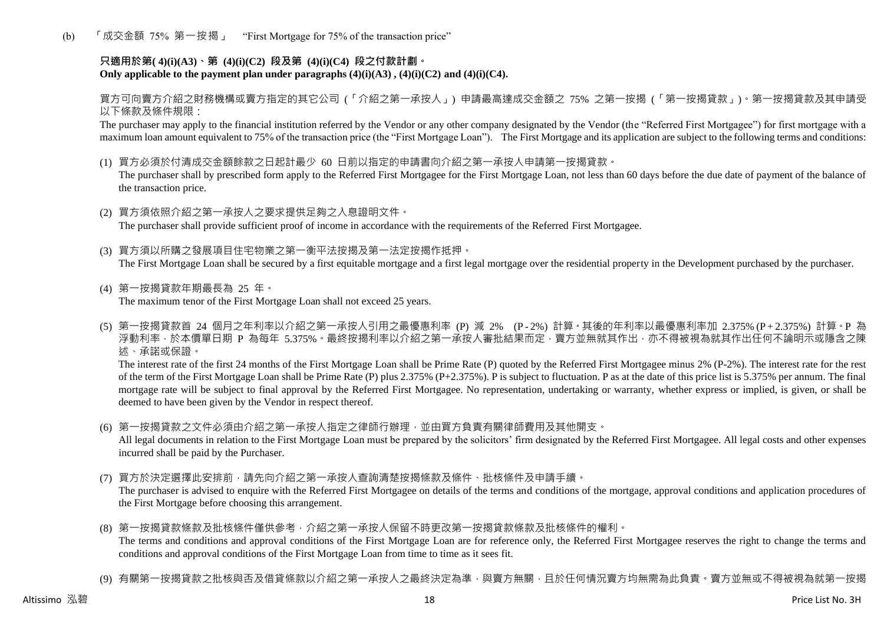(b) 「成交金額 75% 第一按揭」 "First Mortgage for 75% of the transaction price"

## **只適用於第( 4)(i)(A3)、第 (4)(i)(C2) 段及第 (4)(i)(C4) 段之付款計劃。** Only applicable to the payment plan under paragraphs  $(4)(i)(A3)$ ,  $(4)(i)(C2)$  and  $(4)(i)(C4)$ .

買方可向賣方介紹之財務機構或賣方指定的其它公司 (「介紹之第一承按人」) 申請最高達成交金額之 75% 之第一按揭 (「第一按揭貸款」)。第一按揭貸款及其申請受 以下條款及條件規限:

The purchaser may apply to the financial institution referred by the Vendor or any other company designated by the Vendor (the "Referred First Mortgagee") for first mortgage with a maximum loan amount equivalent to 75% of the transaction price (the "First Mortgage Loan"). The First Mortgage and its application are subject to the following terms and conditions:

(1) 買方必須於付清成交金額餘款之日起計最少 60 日前以指定的申請書向介紹之第一承按人申請第一按揭貸款。

The purchaser shall by prescribed form apply to the Referred First Mortgagee for the First Mortgage Loan, not less than 60 days before the due date of payment of the balance of the transaction price.

- (2) 買方須依照介紹之第一承按人之要求提供足夠之入息證明文件。 The purchaser shall provide sufficient proof of income in accordance with the requirements of the Referred First Mortgagee.
- (3) 買方須以所購之發展項目住宅物業之第一衡平法按揭及第一法定按揭作抵押。 The First Mortgage Loan shall be secured by a first equitable mortgage and a first legal mortgage over the residential property in the Development purchased by the purchaser.
- (4) 第一按揭貸款年期最長為 25 年。 The maximum tenor of the First Mortgage Loan shall not exceed 25 years.
- (5) 第一按揭貸款首 24 個月之年利率以介紹之第一承按人引用之最優惠利率 (P) 減 2% (P 2%) 計算。其後的年利率以最優惠利率加 2.375% (P + 2.375%) 計算。P 為 浮動利率,於本價單日期 P 為每年 5.375%。最終按揭利率以介紹之第一承按人審批結果而定,賣方並無就其作出,亦不得被視為就其作出任何不論明示或隱含之陳 述、承諾或保證。

The interest rate of the first 24 months of the First Mortgage Loan shall be Prime Rate (P) quoted by the Referred First Mortgagee minus 2% (P-2%). The interest rate for the rest of the term of the First Mortgage Loan shall be Prime Rate (P) plus 2.375% (P+2.375%). P is subject to fluctuation. P as at the date of this price list is 5.375% per annum. The final mortgage rate will be subject to final approval by the Referred First Mortgagee. No representation, undertaking or warranty, whether express or implied, is given, or shall be deemed to have been given by the Vendor in respect thereof.

(6) 第一按揭貸款之文件必須由介紹之第一承按人指定之律師行辦理,並由買方負責有關律師費用及其他開支。

All legal documents in relation to the First Mortgage Loan must be prepared by the solicitors' firm designated by the Referred First Mortgagee. All legal costs and other expenses incurred shall be paid by the Purchaser.

(7) 買方於決定選擇此安排前,請先向介紹之第一承按人查詢清楚按揭條款及條件、批核條件及申請手續。

The purchaser is advised to enquire with the Referred First Mortgagee on details of the terms and conditions of the mortgage, approval conditions and application procedures of the First Mortgage before choosing this arrangement.

- (8) 第一按揭貸款條款及批核條件僅供參考,介紹之第一承按人保留不時更改第一按揭貸款條款及批核條件的權利。 The terms and conditions and approval conditions of the First Mortgage Loan are for reference only, the Referred First Mortgagee reserves the right to change the terms and conditions and approval conditions of the First Mortgage Loan from time to time as it sees fit.
- (9) 有關第一按揭貸款之批核與否及借貸條款以介紹之第一承按人之最終決定為準,與賣方無關,目於任何情況賣方均無需為此負責。賣方並無或不得被視為就第一按揭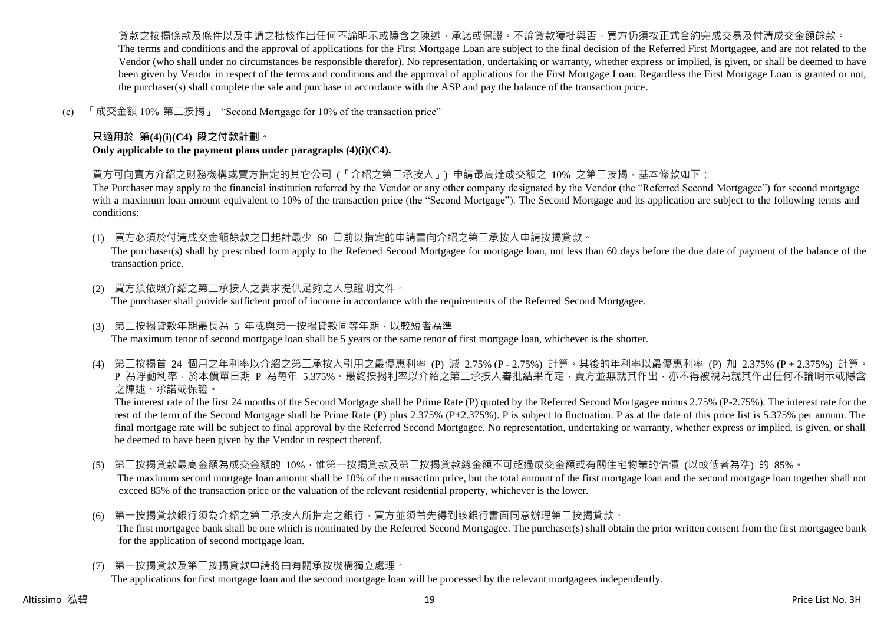貨款之按揭條款及條件以及申請之批核作出任何不論明示或隱含之陳述、承諾或保證。不論貸款獲批與否,買方仍須按正式合約完成交易及付清成交金額餘款。 The terms and conditions and the approval of applications for the First Mortgage Loan are subject to the final decision of the Referred First Mortgagee, and are not related to the Vendor (who shall under no circumstances be responsible therefor). No representation, undertaking or warranty, whether express or implied, is given, or shall be deemed to have been given by Vendor in respect of the terms and conditions and the approval of applications for the First Mortgage Loan. Regardless the First Mortgage Loan is granted or not, the purchaser(s) shall complete the sale and purchase in accordance with the ASP and pay the balance of the transaction price.

(c) 「成交金額 10% 第二按揭」 "Second Mortgage for 10% of the transaction price"

## **只適用於 第(4)(i)(C4) 段之付款計劃。**

**Only applicable to the payment plans under paragraphs (4)(i)(C4).**

買方可向賣方介紹之財務機構或賣方指定的其它公司 (「介紹之第二承按人」) 申請最高達成交額之 10% 之第二按揭,基本條款如下:

The Purchaser may apply to the financial institution referred by the Vendor or any other company designated by the Vendor (the "Referred Second Mortgagee") for second mortgage with a maximum loan amount equivalent to 10% of the transaction price (the "Second Mortgage"). The Second Mortgage and its application are subject to the following terms and conditions:

(1) 買方必須於付清成交金額餘款之日起計最少 60 日前以指定的申請書向介紹之第二承按人申請按揭貸款。

The purchaser(s) shall by prescribed form apply to the Referred Second Mortgagee for mortgage loan, not less than 60 days before the due date of payment of the balance of the transaction price.

- (2) 買方須依照介紹之第二承按人之要求提供足夠之入息證明文件。 The purchaser shall provide sufficient proof of income in accordance with the requirements of the Referred Second Mortgagee.
- (3) 第二按揭貸款年期最長為 5 年或與第一按揭貸款同等年期,以較短者為準 The maximum tenor of second mortgage loan shall be 5 years or the same tenor of first mortgage loan, whichever is the shorter.
- (4) 第二按揭首 24 個月之年利率以介紹之第二承按人引用之最優惠利率 (P) 減 2.75% (P 2.75%) 計算。其後的年利率以最優惠利率 (P) 加 2.375% (P + 2.375%) 計算。 P 為浮動利率,於本價單日期 P 為每年 5.375%。最終按揭利率以介紹之第二承按人審批結果而定,賣方並無就其作出,亦不得被視為就其作出任何不論明示或隱含 之陳述、承諾或保證。

The interest rate of the first 24 months of the Second Mortgage shall be Prime Rate (P) quoted by the Referred Second Mortgagee minus 2.75% (P-2.75%). The interest rate for the rest of the term of the Second Mortgage shall be Prime Rate (P) plus 2.375% (P+2.375%). P is subject to fluctuation. P as at the date of this price list is 5.375% per annum. The final mortgage rate will be subject to final approval by the Referred Second Mortgagee. No representation, undertaking or warranty, whether express or implied, is given, or shall be deemed to have been given by the Vendor in respect thereof.

- (5) 第二按揭貸款最高金額為成交金額的 10%,惟第一按揭貸款及第二按揭貸款總金額不可超過成交金額或有關住宅物業的估價 (以較低者為準) 的 85%。 The maximum second mortgage loan amount shall be 10% of the transaction price, but the total amount of the first mortgage loan and the second mortgage loan together shall not exceed 85% of the transaction price or the valuation of the relevant residential property, whichever is the lower.
- (6) 第一按揭貸款銀行須為介紹之第二承按人所指定之銀行,買方並須首先得到該銀行書面同意辦理第二按揭貸款。 The first mortgagee bank shall be one which is nominated by the Referred Second Mortgagee. The purchaser(s) shall obtain the prior written consent from the first mortgagee bank for the application of second mortgage loan.
- (7) 第一按揭貸款及第二按揭貸款申請將由有關承按機構獨立處理。

The applications for first mortgage loan and the second mortgage loan will be processed by the relevant mortgagees independently.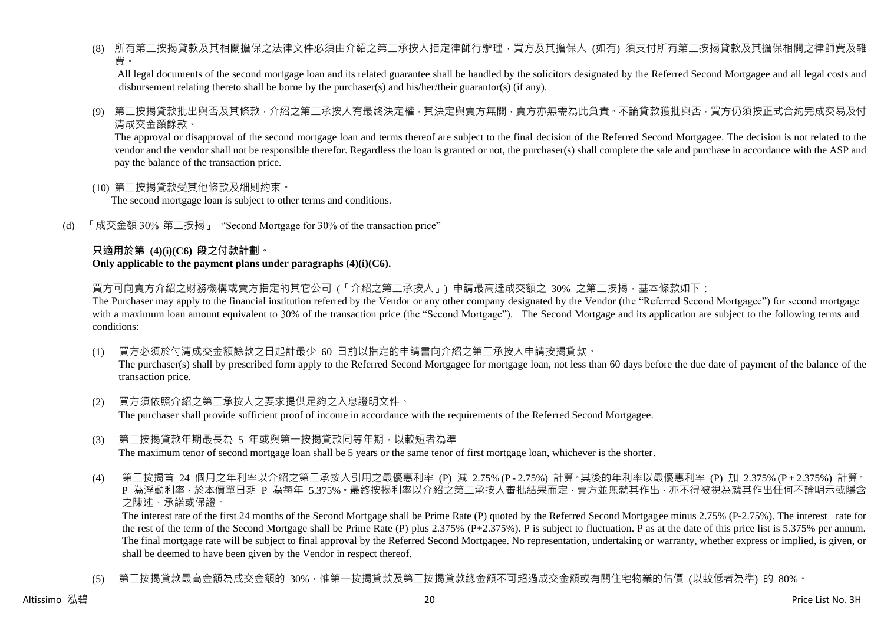(8) 所有第二按揭貸款及其相關擔保之法律文件必須由介紹之第二承按人指定律師行辦理,買方及其擔保人 (如有) 須支付所有第二按揭貸款及其擔保相關之律師費及雜 費。

All legal documents of the second mortgage loan and its related guarantee shall be handled by the solicitors designated by the Referred Second Mortgagee and all legal costs and disbursement relating thereto shall be borne by the purchaser(s) and his/her/their guarantor(s) (if any).

(9) 第二按揭貸款批出與否及其條款,介紹之第二承按人有最終決定權,其決定與賣方無關,賣方亦無需為此負責。不論貸款獲批與否,買方仍須按正式合約完成交易及付 清成交金額餘款。

The approval or disapproval of the second mortgage loan and terms thereof are subject to the final decision of the Referred Second Mortgagee. The decision is not related to the vendor and the vendor shall not be responsible therefor. Regardless the loan is granted or not, the purchaser(s) shall complete the sale and purchase in accordance with the ASP and pay the balance of the transaction price.

(10) 第二按揭貸款受其他條款及細則約束。

The second mortgage loan is subject to other terms and conditions.

(d) 「成交金額 30% 第二按揭」 "Second Mortgage for 30% of the transaction price"

#### **只適用於第 (4)(i)(C6) 段之付款計劃。 Only applicable to the payment plans under paragraphs (4)(i)(C6).**

買方可向賣方介紹之財務機構或賣方指定的其它公司 (「介紹之第二承按人」) 申請最高達成交額之 30% 之第二按揭 · 基本條款如下:

The Purchaser may apply to the financial institution referred by the Vendor or any other company designated by the Vendor (the "Referred Second Mortgagee") for second mortgage with a maximum loan amount equivalent to 30% of the transaction price (the "Second Mortgage"). The Second Mortgage and its application are subject to the following terms and conditions:

(1) 買方必須於付清成交金額餘款之日起計最少 60 日前以指定的申請書向介紹之第二承按人申請按揭貸款。

The purchaser(s) shall by prescribed form apply to the Referred Second Mortgagee for mortgage loan, not less than 60 days before the due date of payment of the balance of the transaction price.

- (2) 買方須依照介紹之第二承按人之要求提供足夠之入息證明文件。 The purchaser shall provide sufficient proof of income in accordance with the requirements of the Referred Second Mortgagee.
- (3) 第二按揭貸款年期最長為 5 年或與第一按揭貸款同等年期,以較短者為準 The maximum tenor of second mortgage loan shall be 5 years or the same tenor of first mortgage loan, whichever is the shorter.
- (4) 第二按揭首 24 個月之年利率以介紹之第二承按人引用之最優惠利率 (P) 減 2.75% (P 2.75%) 計算。其後的年利率以最優惠利率 (P) 加 2.375% (P + 2.375%) 計算。 P 為浮動利率,於本價單日期 P 為每年 5.375%。最終按揭利率以介紹之第二承按人審批結果而定,賣方並無就其作出,亦不得被視為就其作出任何不論明示或隱含 之陳述、承諾或保證。

The interest rate of the first 24 months of the Second Mortgage shall be Prime Rate (P) quoted by the Referred Second Mortgagee minus 2.75% (P-2.75%). The interest rate for the rest of the term of the Second Mortgage shall be Prime Rate (P) plus 2.375% (P+2.375%). P is subject to fluctuation. P as at the date of this price list is 5.375% per annum. The final mortgage rate will be subject to final approval by the Referred Second Mortgagee. No representation, undertaking or warranty, whether express or implied, is given, or shall be deemed to have been given by the Vendor in respect thereof.

(5) 第二按揭貸款最高金額為成交金額的 30%,惟第一按揭貸款及第二按揭貸款總金額不可超過成交金額或有關住宅物業的估價 (以較低者為準) 的 80%。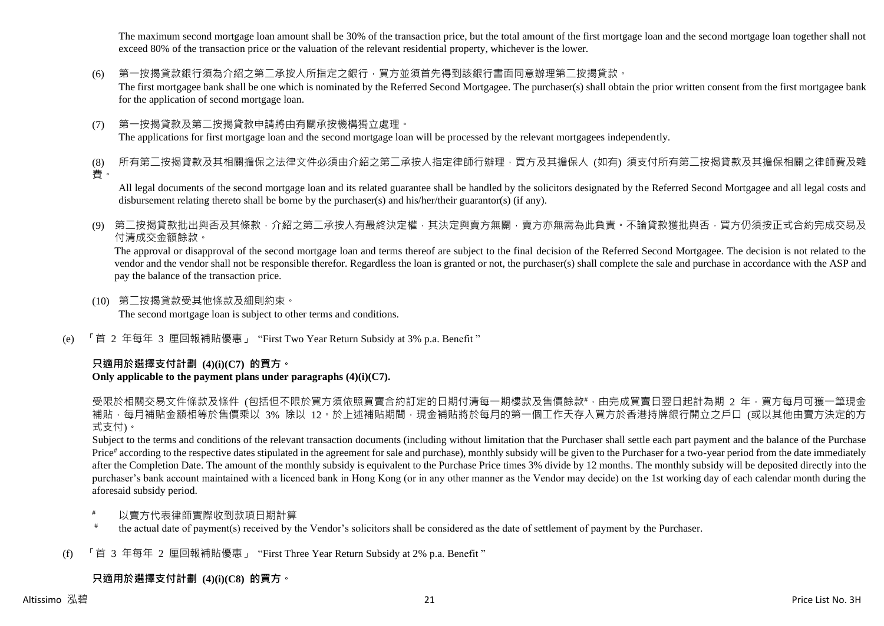The maximum second mortgage loan amount shall be 30% of the transaction price, but the total amount of the first mortgage loan and the second mortgage loan together shall not exceed 80% of the transaction price or the valuation of the relevant residential property, whichever is the lower.

(6) 第一按揭貸款銀行須為介紹之第二承按人所指定之銀行,買方並須首先得到該銀行書面同意辦理第二按揭貸款。

The first mortgagee bank shall be one which is nominated by the Referred Second Mortgagee. The purchaser(s) shall obtain the prior written consent from the first mortgagee bank for the application of second mortgage loan.

(7) 第一按揭貸款及第二按揭貸款申請將由有關承按機構獨立處理。 The applications for first mortgage loan and the second mortgage loan will be processed by the relevant mortgagees independently.

(8) 所有第二按揭貸款及其相關擔保之法律文件必須由介紹之第二承按人指定律師行辦理,買方及其擔保人 (如有) 須支付所有第二按揭貸款及其擔保相關之律師費及雜 費。

All legal documents of the second mortgage loan and its related guarantee shall be handled by the solicitors designated by the Referred Second Mortgagee and all legal costs and disbursement relating thereto shall be borne by the purchaser(s) and his/her/their guarantor(s) (if any).

(9) 第二按揭貸款批出與否及其條款,介紹之第二承按人有最終決定權,其決定與賣方無關,賣方亦無需為此負責。不論貸款獲批與否,買方仍須按正式合約完成交易及 付清成交金額餘款。

The approval or disapproval of the second mortgage loan and terms thereof are subject to the final decision of the Referred Second Mortgagee. The decision is not related to the vendor and the vendor shall not be responsible therefor. Regardless the loan is granted or not, the purchaser(s) shall complete the sale and purchase in accordance with the ASP and pay the balance of the transaction price.

- (10) 第二按揭貸款受其他條款及細則約束。 The second mortgage loan is subject to other terms and conditions.
- (e) 「首 2 年每年 3 厘回報補貼優惠」 "First Two Year Return Subsidy at 3% p.a. Benefit "

## **只適用於選擇支付計劃 (4)(i)(C7) 的買方。**

## **Only applicable to the payment plans under paragraphs (4)(i)(C7).**

受限於相關交易文件條款及條件 (包括但不限於買方須依照買賣合約訂定的日期付清每一期樓款及售價餘款#,由完成買賣日翌日起計為期 2 年,買方每月可獲一筆現金 補貼,每月補貼金額相等於售價乘以 3% 除以 12。於上述補貼期間,現金補貼將於每月的第一個工作天存入買方於香港持牌銀行開立之戶口 (或以其他由賣方決定的方 式支付)。

Subject to the terms and conditions of the relevant transaction documents (including without limitation that the Purchaser shall settle each part payment and the balance of the Purchase Price<sup>#</sup> according to the respective dates stipulated in the agreement for sale and purchase), monthly subsidy will be given to the Purchaser for a two-year period from the date immediately after the Completion Date. The amount of the monthly subsidy is equivalent to the Purchase Price times 3% divide by 12 months. The monthly subsidy will be deposited directly into the purchaser's bank account maintained with a licenced bank in Hong Kong (or in any other manner as the Vendor may decide) on the 1st working day of each calendar month during the aforesaid subsidy period.

- 以賣方代表律師實際收到款項日期計算
- # the actual date of payment(s) received by the Vendor's solicitors shall be considered as the date of settlement of payment by the Purchaser.
- (f) 「首 3 年每年 2 厘回報補貼優惠」 "First Three Year Return Subsidy at 2% p.a. Benefit "

## **只適用於選擇支付計劃 (4)(i)(C8) 的買方。**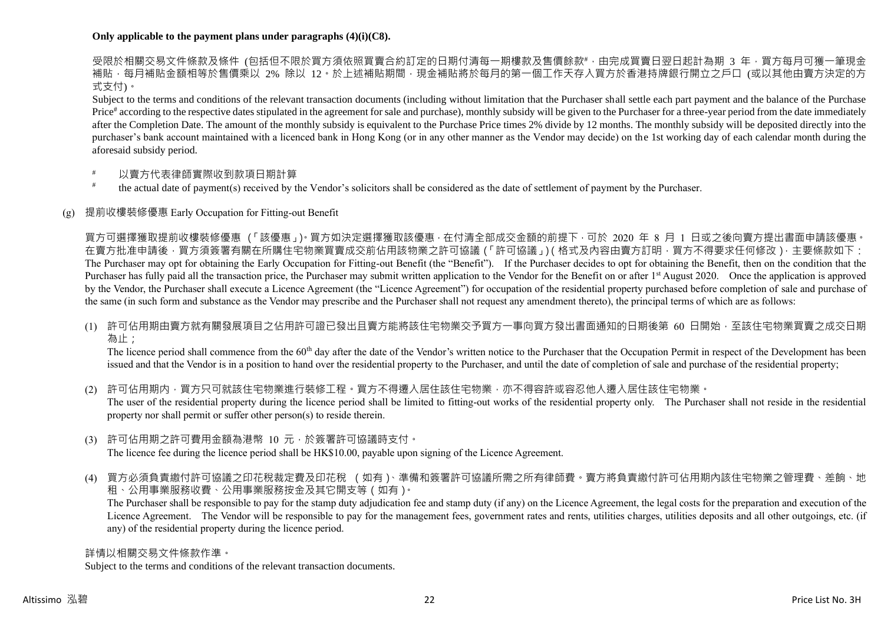#### **Only applicable to the payment plans under paragraphs (4)(i)(C8).**

受限於相關交易文件條款及條件 (包括但不限於買方須依照買賣合約訂定的日期付清每一期樓款及售價餘款#,由完成買賣日翌日起計為期 3 年,買方每月可獲一筆現金 補貼,每月補貼金額相等於售價乘以 2% 除以 12。於上述補貼期間,現金補貼將於每月的第一個工作天存入買方於香港持牌銀行開立之戶口 (或以其他由賣方決定的方 式支付)。

Subject to the terms and conditions of the relevant transaction documents (including without limitation that the Purchaser shall settle each part payment and the balance of the Purchase Price<sup>#</sup> according to the respective dates stipulated in the agreement for sale and purchase), monthly subsidy will be given to the Purchaser for a three-year period from the date immediately after the Completion Date. The amount of the monthly subsidy is equivalent to the Purchase Price times 2% divide by 12 months. The monthly subsidy will be deposited directly into the purchaser's bank account maintained with a licenced bank in Hong Kong (or in any other manner as the Vendor may decide) on the 1st working day of each calendar month during the aforesaid subsidy period.

- 以賣方代表律師實際收到款項日期計算
- # the actual date of payment(s) received by the Vendor's solicitors shall be considered as the date of settlement of payment by the Purchaser.

#### (g) 提前收樓裝修優惠 Early Occupation for Fitting-out Benefit

買方可選擇獲取提前收樓裝修優惠 (「該優惠」)。買方如決定選擇獲取該優惠,在付清全部成交金額的前提下,可於 2020 年 8 月 1 日或之後向賣方提出書面申請該優惠。 在賣方批准申請後,買方須簽署有關在所購住宅物業買賣成交前佔用該物業之許可協議(「許可協議」)(格式及內容由賣方訂明,買方不得要求任何修改),主要條款如下: The Purchaser may opt for obtaining the Early Occupation for Fitting-out Benefit (the "Benefit"). If the Purchaser decides to opt for obtaining the Benefit, then on the condition that the Purchaser has fully paid all the transaction price, the Purchaser may submit written application to the Vendor for the Benefit on or after 1<sup>st</sup> August 2020. Once the application is approved by the Vendor, the Purchaser shall execute a Licence Agreement (the "Licence Agreement") for occupation of the residential property purchased before completion of sale and purchase of the same (in such form and substance as the Vendor may prescribe and the Purchaser shall not request any amendment thereto), the principal terms of which are as follows:

(1) 許可佔用期由賣方就有關發展項目之佔用許可證已發出且賣方能將該住宅物業交予買方一事向買方發出書面通知的日期後第 60 日開始,至該住宅物業買賣之成交日期 為止;

The licence period shall commence from the 60<sup>th</sup> day after the date of the Vendor's written notice to the Purchaser that the Occupation Permit in respect of the Development has been issued and that the Vendor is in a position to hand over the residential property to the Purchaser, and until the date of completion of sale and purchase of the residential property;

(2) 許可佔用期内,買方只可就該住宅物業進行裝修工程。買方不得遷入居住該住宅物業,亦不得容許或容忍他人遷入居住該住宅物業。 The user of the residential property during the licence period shall be limited to fitting-out works of the residential property only. The Purchaser shall not reside in the residential property nor shall permit or suffer other person(s) to reside therein.

- (3) 許可佔用期之許可費用金額為港幣 10 元,於簽署許可協議時支付。 The licence fee during the licence period shall be HK\$10.00, payable upon signing of the Licence Agreement.
- (4) 買方必須負責繳付許可協議之印花稅裁定費及印花稅 (如有)、準備和簽署許可協議所需之所有律師費。賣方將負責繳付許可佔用期內該住宅物業之管理費、差餉、地 租、公用事業服務收費、公用事業服務按金及其它開支等(如有)。

The Purchaser shall be responsible to pay for the stamp duty adjudication fee and stamp duty (if any) on the Licence Agreement, the legal costs for the preparation and execution of the Licence Agreement. The Vendor will be responsible to pay for the management fees, government rates and rents, utilities charges, utilities deposits and all other outgoings, etc. (if any) of the residential property during the licence period.

詳情以相關交易文件條款作準。

Subject to the terms and conditions of the relevant transaction documents.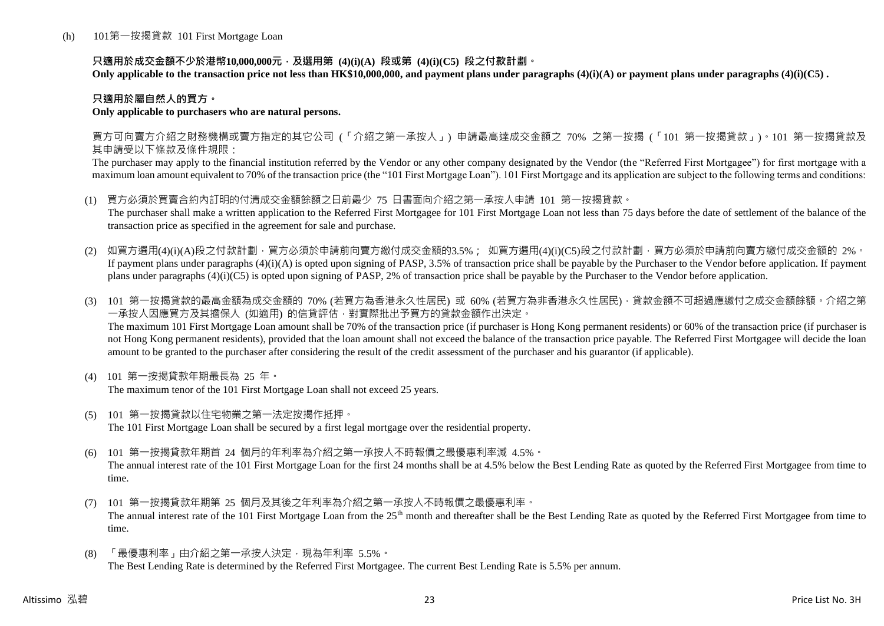### **只適用於成交金額不少於港幣10,000,000元,及選用第 (4)(i)(A) 段或第 (4)(i)(C5) 段之付款計劃。**

**Only applicable to the transaction price not less than HK\$10,000,000, and payment plans under paragraphs (4)(i)(A) or payment plans under paragraphs (4)(i)(C5) .**

## **只適用於屬自然人的買方。**

#### **Only applicable to purchasers who are natural persons.**

買方可向賣方介紹之財務機構或賣方指定的其它公司 (「介紹之第一承按人」) 申請最高達成交金額之 70% 之第一按揭 (「101 第一按揭貸款」)。101 第一按揭貸款及 其申請受以下條款及條件規限:

The purchaser may apply to the financial institution referred by the Vendor or any other company designated by the Vendor (the "Referred First Mortgagee") for first mortgage with a maximum loan amount equivalent to 70% of the transaction price (the "101 First Mortgage Loan"). 101 First Mortgage and its application are subject to the following terms and conditions:

- (1) 買方必須於買賣合約內訂明的付清成交金額餘額之日前最少 75 日書面向介紹之第一承按人申請 101 第一按揭貸款。 The purchaser shall make a written application to the Referred First Mortgagee for 101 First Mortgage Loan not less than 75 days before the date of settlement of the balance of the transaction price as specified in the agreement for sale and purchase.
- (2) 如買方選用(4)(i)(A)段之付款計劃,買方必須於申請前向賣方繳付成交金額的3.5%; 如買方選用(4)(i)(C5)段之付款計劃,買方必須於申請前向賣方繳付成交金額的 2%。 If payment plans under paragraphs  $(4)(i)(A)$  is opted upon signing of PASP, 3.5% of transaction price shall be payable by the Purchaser to the Vendor before application. If payment plans under paragraphs (4)(i)(C5) is opted upon signing of PASP, 2% of transaction price shall be payable by the Purchaser to the Vendor before application.
- (3) 101 第一按揭貸款的最高金額為成交金額的 70% (若買方為香港永久性居民) 或 60% (若買方為非香港永久性居民),貸款金額不可超過應繳付之成交金額餘額。介紹之第 一承按人因應買方及其擔保人 (如適用) 的信貸評估,對實際批出予買方的貸款金額作出決定。 The maximum 101 First Mortgage Loan amount shall be 70% of the transaction price (if purchaser is Hong Kong permanent residents) or 60% of the transaction price (if purchaser is not Hong Kong permanent residents), provided that the loan amount shall not exceed the balance of the transaction price payable. The Referred First Mortgagee will decide the loan amount to be granted to the purchaser after considering the result of the credit assessment of the purchaser and his guarantor (if applicable).
- (4) 101 第一按揭貸款年期最長為 25 年。 The maximum tenor of the 101 First Mortgage Loan shall not exceed 25 years.
- (5) 101 第一按揭貸款以住宅物業之第一法定按揭作抵押。 The 101 First Mortgage Loan shall be secured by a first legal mortgage over the residential property.
- (6) 101 第一按揭貸款年期首 24 個月的年利率為介紹之第一承按人不時報價之最優惠利率減 4.5%。 The annual interest rate of the 101 First Mortgage Loan for the first 24 months shall be at 4.5% below the Best Lending Rate as quoted by the Referred First Mortgagee from time to time.
- (7) 101 第一按揭貸款年期第 25 個月及其後之年利率為介紹之第一承按人不時報價之最優惠利率。 The annual interest rate of the 101 First Mortgage Loan from the 25<sup>th</sup> month and thereafter shall be the Best Lending Rate as quoted by the Referred First Mortgagee from time to time.
- (8) 「最優惠利率」由介紹之第一承按人決定,現為年利率 5.5%。 The Best Lending Rate is determined by the Referred First Mortgagee. The current Best Lending Rate is 5.5% per annum.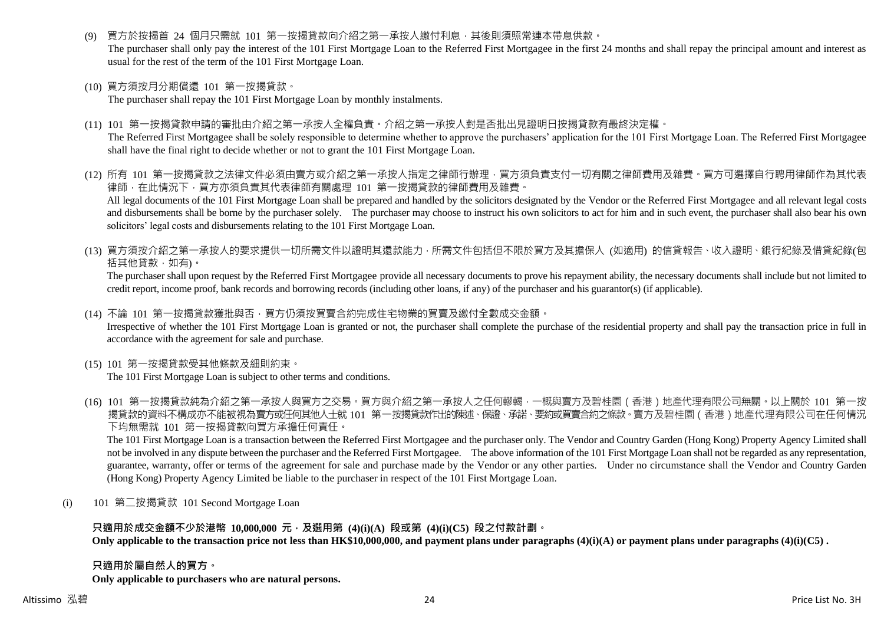買方於按揭首 24 個月只需就 101 第一按揭貸款向介紹之第一承按人繳付利息,其後則須照常連本帶息供款。

The purchaser shall only pay the interest of the 101 First Mortgage Loan to the Referred First Mortgagee in the first 24 months and shall repay the principal amount and interest as usual for the rest of the term of the 101 First Mortgage Loan.

(10) 買方須按月分期償還 101 第一按揭貸款。

The purchaser shall repay the 101 First Mortgage Loan by monthly instalments.

(11) 101 第一按揭貸款申請的審批由介紹之第一承按人全權負責。介紹之第一承按人對是否批出見證明日按揭貸款有最終決定權。

The Referred First Mortgagee shall be solely responsible to determine whether to approve the purchasers' application for the 101 First Mortgage Loan. The Referred First Mortgagee shall have the final right to decide whether or not to grant the 101 First Mortgage Loan.

- (12) 所有 101 第一按揭貸款之法律文件必須由賣方或介紹之第一承按人指定之律師行辦理,買方須負責支付一切有關之律師費用及雜費。買方可選擇自行聘用律師作為其代表 律師,在此情況下,買方亦須負責其代表律師有關處理 101 第一按揭貸款的律師費用及雜費。 All legal documents of the 101 First Mortgage Loan shall be prepared and handled by the solicitors designated by the Vendor or the Referred First Mortgagee and all relevant legal costs and disbursements shall be borne by the purchaser solely. The purchaser may choose to instruct his own solicitors to act for him and in such event, the purchaser shall also bear his own solicitors' legal costs and disbursements relating to the 101 First Mortgage Loan.
- (13) 買方須按介紹之第一承按人的要求提供一切所需文件以證明其還款能力,所需文件包括但不限於買方及其擔保人 (如適用) 的信貸報告、收入證明、銀行紀錄及借貸紀錄(包 括其他貸款,如有)。

The purchaser shall upon request by the Referred First Mortgagee provide all necessary documents to prove his repayment ability, the necessary documents shall include but not limited to credit report, income proof, bank records and borrowing records (including other loans, if any) of the purchaser and his guarantor(s) (if applicable).

(14) 不論 101 第一按揭貸款獲批與否,買方仍須按買賣合約完成住宅物業的買賣及繳付全數成交金額。

Irrespective of whether the 101 First Mortgage Loan is granted or not, the purchaser shall complete the purchase of the residential property and shall pay the transaction price in full in accordance with the agreement for sale and purchase.

(15) 101 第一按揭貸款受其他條款及細則約束。

The 101 First Mortgage Loan is subject to other terms and conditions.

(16) 101 第一按揭貸款純為介紹之第一承按人與買方之交易。買方與介紹之第一承按人之任何轇輵,一概與賣方及碧桂園(香港)地產代理有限公司無關。以上關於 101 第一按 揭貸款的資料不構成亦不能被視為賣方或任何其他人士就 101 第一按揭貸款作出的陳述、保證、承諾、要約或買賣合約之條款。賣方及碧桂園(香港)地產代理有限公司在任何情況 下均無需就 101 第一按揭貸款向買方承擔任何責任。

The 101 First Mortgage Loan is a transaction between the Referred First Mortgagee and the purchaser only. The Vendor and Country Garden (Hong Kong) Property Agency Limited shall not be involved in any dispute between the purchaser and the Referred First Mortgagee. The above information of the 101 First Mortgage Loan shall not be regarded as any representation, guarantee, warranty, offer or terms of the agreement for sale and purchase made by the Vendor or any other parties. Under no circumstance shall the Vendor and Country Garden (Hong Kong) Property Agency Limited be liable to the purchaser in respect of the 101 First Mortgage Loan.

(i) 101 第二按揭貸款 101 Second Mortgage Loan

## **只適用於成交金額不少於港幣 10,000,000 元,及選用第 (4)(i)(A) 段或第 (4)(i)(C5) 段之付款計劃。**

**Only applicable to the transaction price not less than HK\$10,000,000, and payment plans under paragraphs (4)(i)(A) or payment plans under paragraphs (4)(i)(C5) .**

#### **只適用於屬自然人的買方。**

**Only applicable to purchasers who are natural persons.**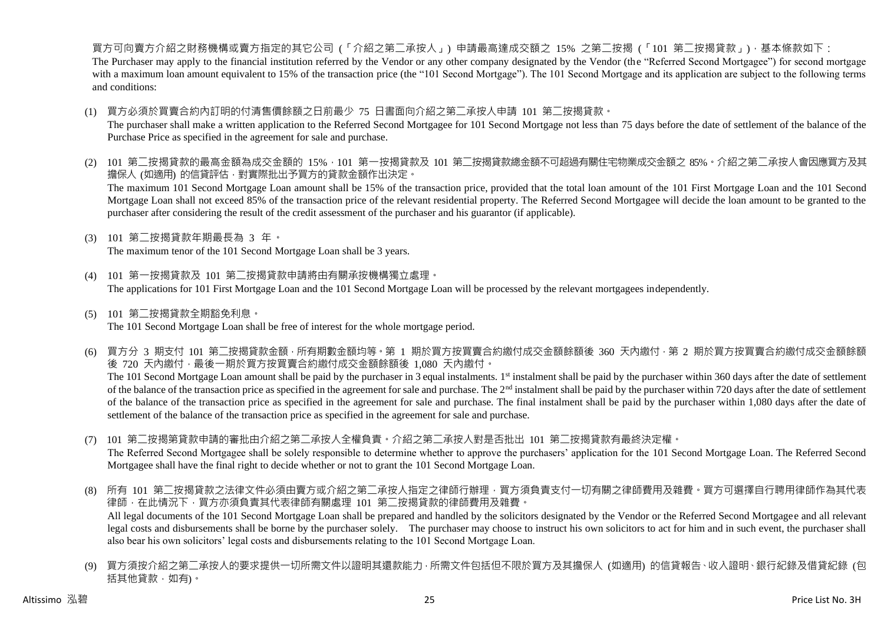買方可向賣方介紹之財務機構或賣方指定的其它公司 (「介紹之第二承按人」) 申請最高達成交額之 15% 之第二按揭 (「101 第二按揭貸款」),基本條款如下: The Purchaser may apply to the financial institution referred by the Vendor or any other company designated by the Vendor (the "Referred Second Mortgagee") for second mortgage with a maximum loan amount equivalent to 15% of the transaction price (the "101 Second Mortgage"). The 101 Second Mortgage and its application are subject to the following terms and conditions:

(1) 買方必須於買賣合約內訂明的付清售價餘額之日前最少 75 日書面向介紹之第二承按人申請 101 第二按揭貸款。

The purchaser shall make a written application to the Referred Second Mortgagee for 101 Second Mortgage not less than 75 days before the date of settlement of the balance of the Purchase Price as specified in the agreement for sale and purchase.

- (2) 101 第二按揭貸款的最高金額為成交金額的 15%,101 第一按揭貸款及 101 第二按揭貸款總金額不可超過有關住宅物業成交金額之 85%。介紹之第二承按人會因應買方及其 擔保人 (如適用) 的信貸評估,對實際批出予買方的貸款金額作出決定。 The maximum 101 Second Mortgage Loan amount shall be 15% of the transaction price, provided that the total loan amount of the 101 First Mortgage Loan and the 101 Second Mortgage Loan shall not exceed 85% of the transaction price of the relevant residential property. The Referred Second Mortgagee will decide the loan amount to be granted to the purchaser after considering the result of the credit assessment of the purchaser and his guarantor (if applicable).
- (3) 101 第二按揭貸款年期最長為 3 年。

The maximum tenor of the 101 Second Mortgage Loan shall be 3 years.

- (4) 101 第一按揭貸款及 101 第二按揭貸款申請將由有關承按機構獨立處理。 The applications for 101 First Mortgage Loan and the 101 Second Mortgage Loan will be processed by the relevant mortgagees independently.
- (5) 101 第二按揭貸款全期豁免利息。 The 101 Second Mortgage Loan shall be free of interest for the whole mortgage period.
- (6) 買方分 3 期支付 101 第二按揭貸款金額,所有期數金額均等。第 1 期於買方按買賣合約繳付成交金額餘額後 360 天內繳付,第 2 期於買方按買賣合約繳付成交金額餘額 後 720 天內繳付,最後一期於買方按買賣合約繳付成交金額餘額後 1,080 天內繳付。 The 101 Second Mortgage Loan amount shall be paid by the purchaser in 3 equal instalments. 1<sup>st</sup> instalment shall be paid by the purchaser within 360 days after the date of settlement of the balance of the transaction price as specified in the agreement for sale and purchase. The  $2<sup>nd</sup>$  instalment shall be paid by the purchaser within 720 days after the date of settlement of the balance of the transaction price as specified in the agreement for sale and purchase. The final instalment shall be paid by the purchaser within 1,080 days after the date of settlement of the balance of the transaction price as specified in the agreement for sale and purchase.
- (7) 101 第二按揭第貸款申請的審批由介紹之第二承按人全權負責。介紹之第二承按人對是否批出 101 第二按揭貸款有最終決定權。 The Referred Second Mortgagee shall be solely responsible to determine whether to approve the purchasers' application for the 101 Second Mortgage Loan. The Referred Second Mortgagee shall have the final right to decide whether or not to grant the 101 Second Mortgage Loan.
- (8) 所有 101 第二按揭貸款之法律文件必須由賣方或介紹之第二承按人指定之律師行辦理,買方須負責支付一切有關之律師費用及雜費。買方可選擇自行聘用律師作為其代表 律師,在此情況下,買方亦須負責其代表律師有關處理 101 第二按揭貸款的律師費用及雜費。 All legal documents of the 101 Second Mortgage Loan shall be prepared and handled by the solicitors designated by the Vendor or the Referred Second Mortgagee and all relevant legal costs and disbursements shall be borne by the purchaser solely. The purchaser may choose to instruct his own solicitors to act for him and in such event, the purchaser shall also bear his own solicitors' legal costs and disbursements relating to the 101 Second Mortgage Loan.
- (9) 買方須按介紹之第二承按人的要求提供一切所需文件以證明其還款能力,所需文件包括但不限於買方及其擔保人 (如適用) 的信貸報告、收入證明、銀行紀錄及借貸紀錄 (包 括其他貸款,如有)。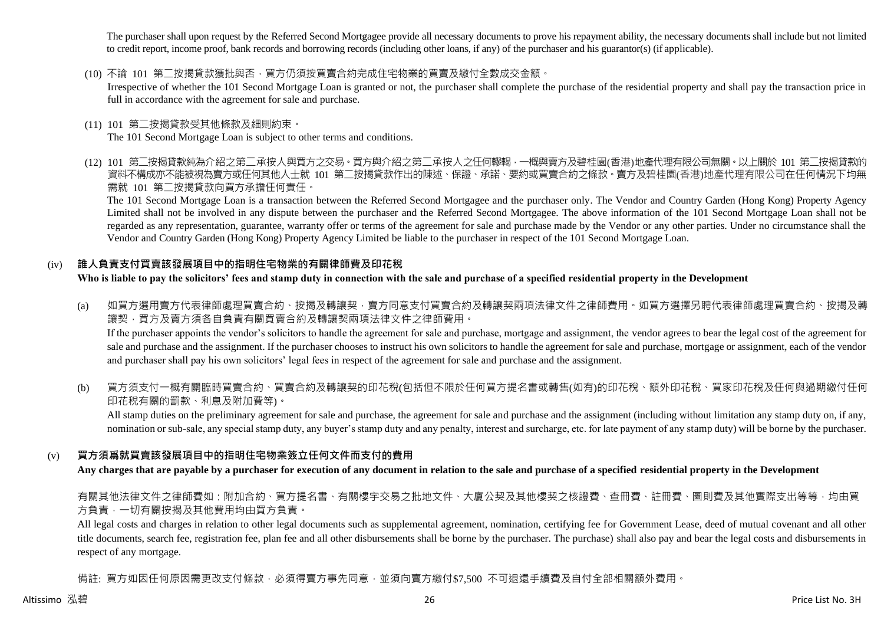The purchaser shall upon request by the Referred Second Mortgagee provide all necessary documents to prove his repayment ability, the necessary documents shall include but not limited to credit report, income proof, bank records and borrowing records (including other loans, if any) of the purchaser and his guarantor(s) (if applicable).

(10) 不論 101 第二按揭貸款獲批與否,買方仍須按買賣合約完成住宅物業的買賣及繳付全數成交金額。

Irrespective of whether the 101 Second Mortgage Loan is granted or not, the purchaser shall complete the purchase of the residential property and shall pay the transaction price in full in accordance with the agreement for sale and purchase.

(11) 101 第二按揭貸款受其他條款及細則約束。

The 101 Second Mortgage Loan is subject to other terms and conditions.

(12) 101 第二按揭貸款純為介紹之第二承按人與買方之交易。買方與介紹之第二承按人之任何轇輵,一概與賣方及碧桂園(香港)地產代理有限公司無關。以上關於 101 第二按揭貸款的 資料不構成亦不能被視為賣方或任何其他人士就 101 第二按揭貸款作出的陳述、保證、承諾、要約或買賣合約之條款。賣方及碧桂園(香港)地產代理有限公司在任何情況下均無 需就 101 第二按揭貸款向買方承擔任何責任。

The 101 Second Mortgage Loan is a transaction between the Referred Second Mortgagee and the purchaser only. The Vendor and Country Garden (Hong Kong) Property Agency Limited shall not be involved in any dispute between the purchaser and the Referred Second Mortgagee. The above information of the 101 Second Mortgage Loan shall not be regarded as any representation, guarantee, warranty offer or terms of the agreement for sale and purchase made by the Vendor or any other parties. Under no circumstance shall the Vendor and Country Garden (Hong Kong) Property Agency Limited be liable to the purchaser in respect of the 101 Second Mortgage Loan.

## (iv) **誰人負責支付買賣該發展項目中的指明住宅物業的有關律師費及印花稅**

**Who is liable to pay the solicitors' fees and stamp duty in connection with the sale and purchase of a specified residential property in the Development**

- (a) 如買方選用賣方代表律師處理買賣合約、按揭及轉讓契,賣方同意支付買賣合約及轉讓契兩項法律文件之律師費用。如買方選擇另聘代表律師處理買賣合約、按揭及轉 讓契,買方及賣方須各自負責有關買賣合約及轉讓契兩項法律文件之律師費用。 If the purchaser appoints the vendor's solicitors to handle the agreement for sale and purchase, mortgage and assignment, the vendor agrees to bear the legal cost of the agreement for sale and purchase and the assignment. If the purchaser chooses to instruct his own solicitors to handle the agreement for sale and purchase, mortgage or assignment, each of the vendor and purchaser shall pay his own solicitors' legal fees in respect of the agreement for sale and purchase and the assignment.
- (b) 買方須支付一概有關臨時買賣合約、買賣合約及轉讓契的印花稅(包括但不限於任何買方提名書或轉售(如有)的印花稅、額外印花稅、買家印花稅及任何與過期繳付任何 印花稅有關的罰款、利息及附加費等)。

All stamp duties on the preliminary agreement for sale and purchase, the agreement for sale and purchase and the assignment (including without limitation any stamp duty on, if any, nomination or sub-sale, any special stamp duty, any buyer's stamp duty and any penalty, interest and surcharge, etc. for late payment of any stamp duty) will be borne by the purchaser.

## (v) **買方須爲就買賣該發展項目中的指明住宅物業簽立任何文件而支付的費用**

**Any charges that are payable by a purchaser for execution of any document in relation to the sale and purchase of a specified residential property in the Development**

有關其他法律文件之律師費如:附加合約、買方提名書、有關樓宇交易之批地文件、大廈公契及其他樓契之核證費、查冊費、註冊費、圖則費及其他實際支出等等,均由買 方負責,一切有關按揭及其他費用均由買方負責。

All legal costs and charges in relation to other legal documents such as supplemental agreement, nomination, certifying fee for Government Lease, deed of mutual covenant and all other title documents, search fee, registration fee, plan fee and all other disbursements shall be borne by the purchaser. The purchase) shall also pay and bear the legal costs and disbursements in respect of any mortgage.

備註: 買方如因任何原因需更改支付條款,必須得賣方事先同意,並須向賣方繳付\$7,500 不可狠還手續費及自付全部相關額外費用。